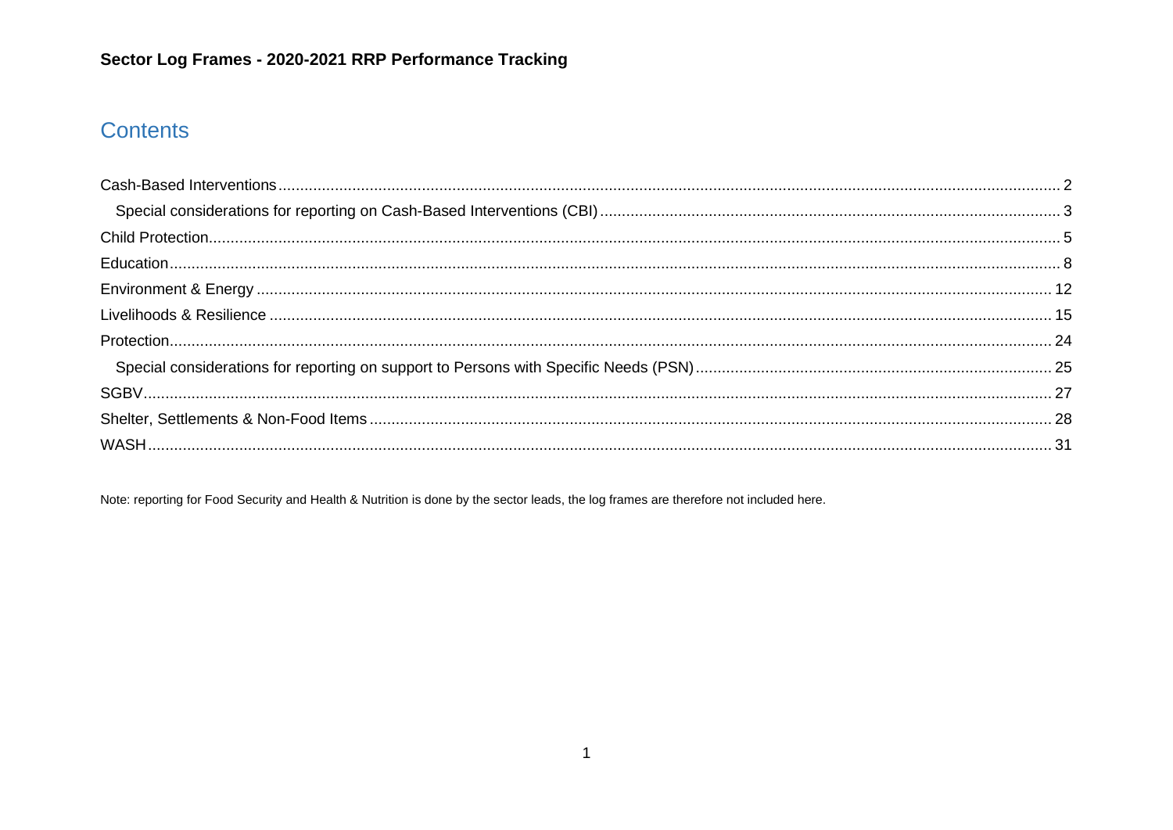# **Contents**

Note: reporting for Food Security and Health & Nutrition is done by the sector leads, the log frames are therefore not included here.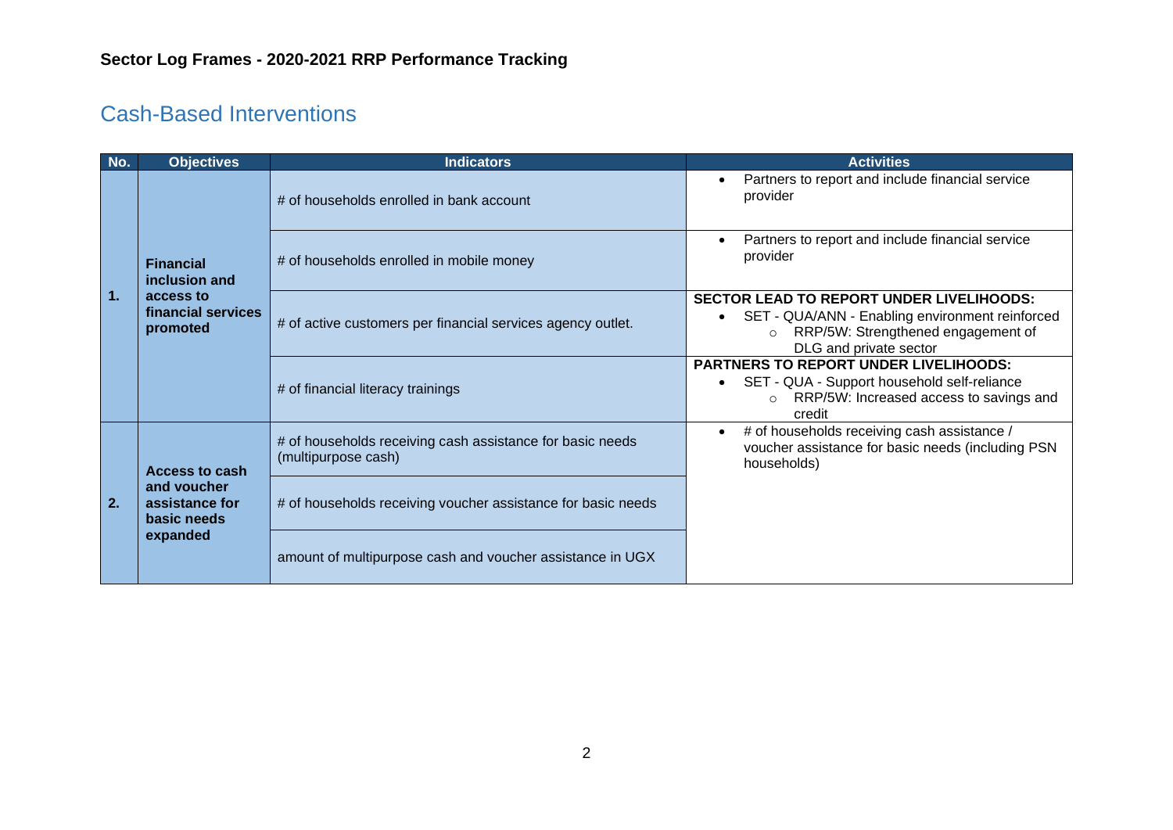# <span id="page-1-0"></span>Cash-Based Interventions

| No.            | <b>Objectives</b>                                                                 | <b>Indicators</b>                                                                | <b>Activities</b>                                                                                                                                           |                                                                                                                                                                               |
|----------------|-----------------------------------------------------------------------------------|----------------------------------------------------------------------------------|-------------------------------------------------------------------------------------------------------------------------------------------------------------|-------------------------------------------------------------------------------------------------------------------------------------------------------------------------------|
|                | <b>Financial</b><br>inclusion and<br>access to<br>financial services<br>promoted  | # of households enrolled in bank account                                         | Partners to report and include financial service<br>provider                                                                                                |                                                                                                                                                                               |
|                |                                                                                   | # of households enrolled in mobile money                                         | Partners to report and include financial service<br>provider                                                                                                |                                                                                                                                                                               |
| $\mathbf{1}$ . |                                                                                   |                                                                                  | # of active customers per financial services agency outlet.                                                                                                 | <b>SECTOR LEAD TO REPORT UNDER LIVELIHOODS:</b><br>SET - QUA/ANN - Enabling environment reinforced<br>RRP/5W: Strengthened engagement of<br>$\circ$<br>DLG and private sector |
|                |                                                                                   | # of financial literacy trainings                                                | <b>PARTNERS TO REPORT UNDER LIVELIHOODS:</b><br>SET - QUA - Support household self-reliance<br>RRP/5W: Increased access to savings and<br>$\circ$<br>credit |                                                                                                                                                                               |
| 2.             | <b>Access to cash</b><br>and voucher<br>assistance for<br>basic needs<br>expanded | # of households receiving cash assistance for basic needs<br>(multipurpose cash) | # of households receiving cash assistance /<br>voucher assistance for basic needs (including PSN<br>households)                                             |                                                                                                                                                                               |
|                |                                                                                   | # of households receiving voucher assistance for basic needs                     |                                                                                                                                                             |                                                                                                                                                                               |
|                |                                                                                   | amount of multipurpose cash and voucher assistance in UGX                        |                                                                                                                                                             |                                                                                                                                                                               |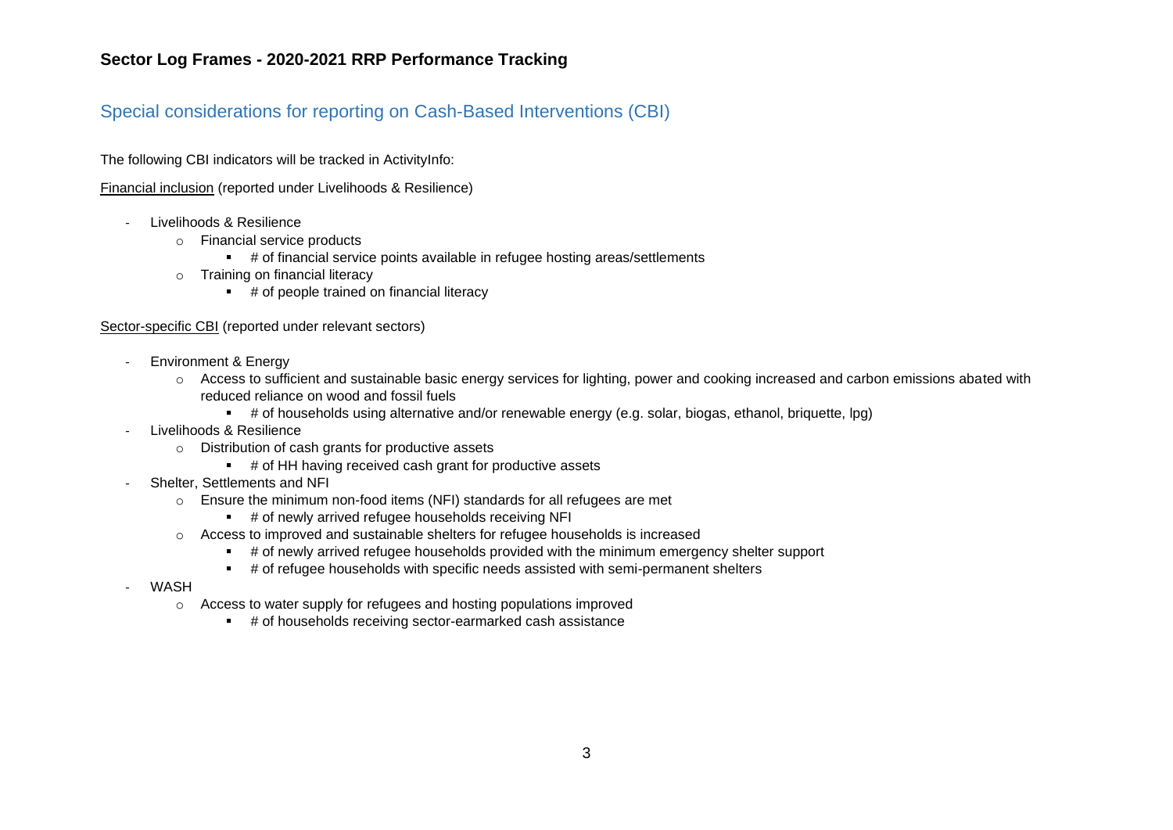#### <span id="page-2-0"></span>Special considerations for reporting on Cash-Based Interventions (CBI)

The following CBI indicators will be tracked in ActivityInfo:

Financial inclusion (reported under Livelihoods & Resilience)

- Livelihoods & Resilience
	- o Financial service products
		- # of financial service points available in refugee hosting areas/settlements
	- o Training on financial literacy
		- # of people trained on financial literacy

#### Sector-specific CBI (reported under relevant sectors)

- Environment & Energy
	- o Access to sufficient and sustainable basic energy services for lighting, power and cooking increased and carbon emissions abated with reduced reliance on wood and fossil fuels
		- # of households using alternative and/or renewable energy (e.g. solar, biogas, ethanol, briquette, lpg)
- Livelihoods & Resilience
	- o Distribution of cash grants for productive assets
		- # of HH having received cash grant for productive assets
- Shelter, Settlements and NFI
	- o Ensure the minimum non-food items (NFI) standards for all refugees are met
		- # of newly arrived refugee households receiving NFI
	- o Access to improved and sustainable shelters for refugee households is increased
		- # of newly arrived refugee households provided with the minimum emergency shelter support
		- # of refugee households with specific needs assisted with semi-permanent shelters
- **WASH** 
	- o Access to water supply for refugees and hosting populations improved
		- # of households receiving sector-earmarked cash assistance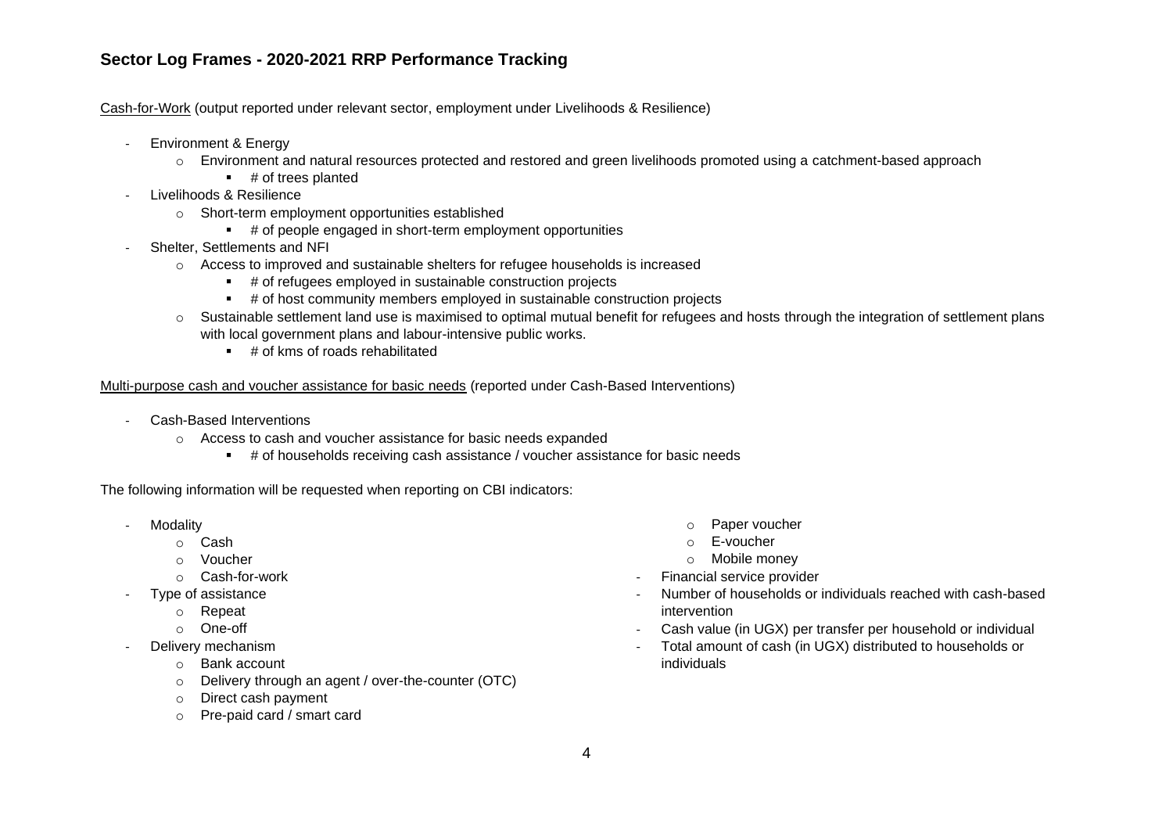Cash-for-Work (output reported under relevant sector, employment under Livelihoods & Resilience)

- Environment & Energy
	- o Environment and natural resources protected and restored and green livelihoods promoted using a catchment-based approach
		- # of trees planted
- Livelihoods & Resilience
	- o Short-term employment opportunities established
		- # of people engaged in short-term employment opportunities
- Shelter, Settlements and NFI
	- o Access to improved and sustainable shelters for refugee households is increased
		- # of refugees employed in sustainable construction projects
		- # of host community members employed in sustainable construction projects
	- o Sustainable settlement land use is maximised to optimal mutual benefit for refugees and hosts through the integration of settlement plans with local government plans and labour-intensive public works.
		- $\pm$  # of kms of roads rehabilitated

Multi-purpose cash and voucher assistance for basic needs (reported under Cash-Based Interventions)

- Cash-Based Interventions
	- o Access to cash and voucher assistance for basic needs expanded
		- # of households receiving cash assistance / voucher assistance for basic needs

The following information will be requested when reporting on CBI indicators:

- **Modality** 
	- o Cash
	- o Voucher
	- o Cash-for-work
- Type of assistance
	- o Repeat
	- o One-off
- Delivery mechanism
	- o Bank account
	- o Delivery through an agent / over-the-counter (OTC)
	- o Direct cash payment
	- o Pre-paid card / smart card
- o Paper voucher
- o E-voucher
- o Mobile money
- Financial service provider
- Number of households or individuals reached with cash-based intervention
- Cash value (in UGX) per transfer per household or individual
- Total amount of cash (in UGX) distributed to households or individuals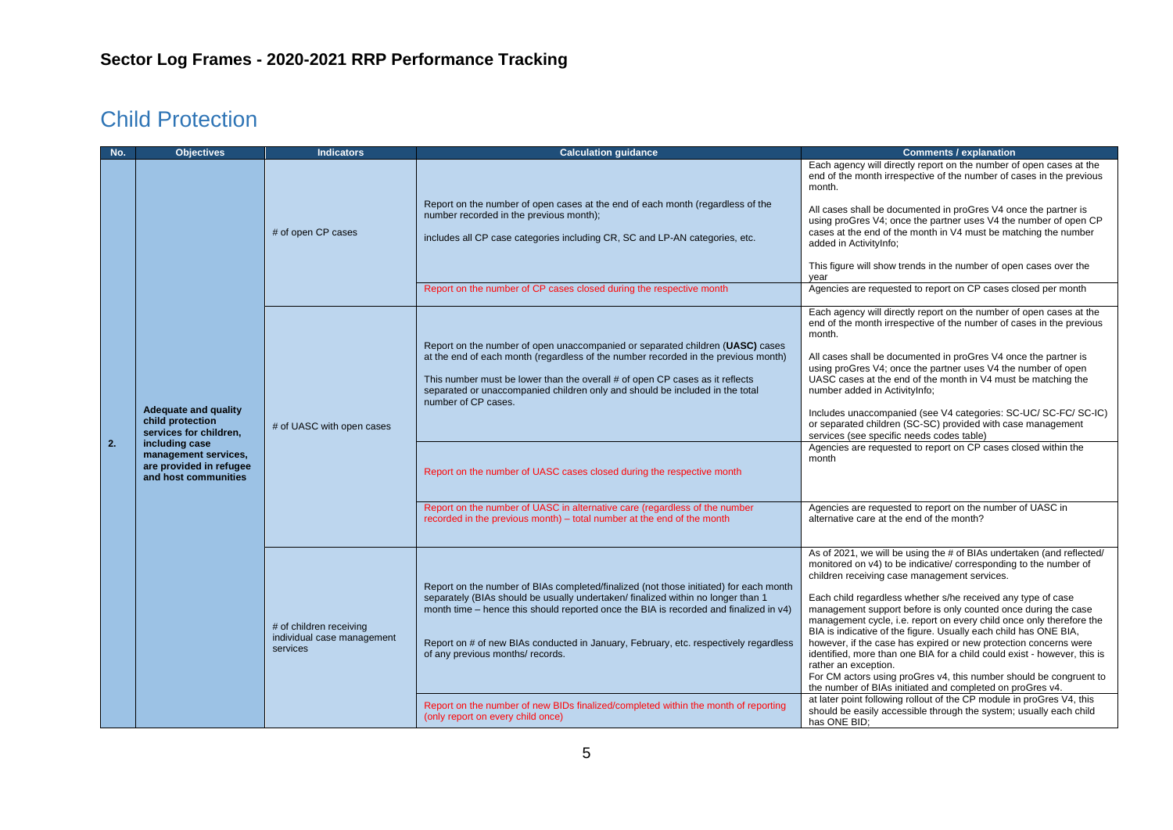## <span id="page-4-0"></span>Child Protection

| No. | <b>Objectives</b>                                                                                                                                                      | <b>Indicators</b>                                                 | <b>Calculation guidance</b>                                                                                                                                                                                                                                                                                                                                                                                                         | <b>Comments / explanation</b>                                                                                                                                                                                                                                                                                                                                                                                                                                                                                                                                                                                                                                                                                                                                                      |
|-----|------------------------------------------------------------------------------------------------------------------------------------------------------------------------|-------------------------------------------------------------------|-------------------------------------------------------------------------------------------------------------------------------------------------------------------------------------------------------------------------------------------------------------------------------------------------------------------------------------------------------------------------------------------------------------------------------------|------------------------------------------------------------------------------------------------------------------------------------------------------------------------------------------------------------------------------------------------------------------------------------------------------------------------------------------------------------------------------------------------------------------------------------------------------------------------------------------------------------------------------------------------------------------------------------------------------------------------------------------------------------------------------------------------------------------------------------------------------------------------------------|
|     |                                                                                                                                                                        | # of open CP cases                                                | Report on the number of open cases at the end of each month (regardless of the<br>number recorded in the previous month);<br>includes all CP case categories including CR, SC and LP-AN categories, etc.                                                                                                                                                                                                                            | Each agency will directly report on the number of open cases at the<br>end of the month irrespective of the number of cases in the previous<br>month.<br>All cases shall be documented in proGres V4 once the partner is<br>using proGres V4; once the partner uses V4 the number of open CP<br>cases at the end of the month in V4 must be matching the number<br>added in ActivityInfo;<br>This figure will show trends in the number of open cases over the<br>year                                                                                                                                                                                                                                                                                                             |
|     |                                                                                                                                                                        |                                                                   | Report on the number of CP cases closed during the respective month                                                                                                                                                                                                                                                                                                                                                                 | Agencies are requested to report on CP cases closed per month                                                                                                                                                                                                                                                                                                                                                                                                                                                                                                                                                                                                                                                                                                                      |
| 2.  | <b>Adequate and quality</b><br>child protection<br>services for children,<br>including case<br>management services,<br>are provided in refugee<br>and host communities | # of UASC with open cases                                         | Report on the number of open unaccompanied or separated children (UASC) cases<br>at the end of each month (regardless of the number recorded in the previous month)<br>This number must be lower than the overall # of open CP cases as it reflects<br>separated or unaccompanied children only and should be included in the total<br>number of CP cases.<br>Report on the number of UASC cases closed during the respective month | Each agency will directly report on the number of open cases at the<br>end of the month irrespective of the number of cases in the previous<br>month.<br>All cases shall be documented in proGres V4 once the partner is<br>using proGres V4; once the partner uses V4 the number of open<br>UASC cases at the end of the month in V4 must be matching the<br>number added in ActivityInfo;<br>Includes unaccompanied (see V4 categories: SC-UC/ SC-FC/ SC-IC)<br>or separated children (SC-SC) provided with case management<br>services (see specific needs codes table)<br>Agencies are requested to report on CP cases closed within the<br>month                                                                                                                              |
|     |                                                                                                                                                                        |                                                                   | Report on the number of UASC in alternative care (regardless of the number<br>recorded in the previous month) – total number at the end of the month                                                                                                                                                                                                                                                                                | Agencies are requested to report on the number of UASC in<br>alternative care at the end of the month?                                                                                                                                                                                                                                                                                                                                                                                                                                                                                                                                                                                                                                                                             |
|     |                                                                                                                                                                        | # of children receiving<br>individual case management<br>services | Report on the number of BIAs completed/finalized (not those initiated) for each month<br>separately (BIAs should be usually undertaken/ finalized within no longer than 1<br>month time – hence this should reported once the BIA is recorded and finalized in v4)<br>Report on # of new BIAs conducted in January, February, etc. respectively regardless<br>of any previous months/ records.                                      | As of 2021, we will be using the # of BIAs undertaken (and reflected/<br>monitored on v4) to be indicative/corresponding to the number of<br>children receiving case management services.<br>Each child regardless whether s/he received any type of case<br>management support before is only counted once during the case<br>management cycle, i.e. report on every child once only therefore the<br>BIA is indicative of the figure. Usually each child has ONE BIA,<br>however, if the case has expired or new protection concerns were<br>identified, more than one BIA for a child could exist - however, this is<br>rather an exception.<br>For CM actors using proGres v4, this number should be congruent to<br>the number of BIAs initiated and completed on proGres v4. |
|     |                                                                                                                                                                        |                                                                   | Report on the number of new BIDs finalized/completed within the month of reporting<br>(only report on every child once)                                                                                                                                                                                                                                                                                                             | at later point following rollout of the CP module in proGres V4, this<br>should be easily accessible through the system; usually each child<br>has ONE BID:                                                                                                                                                                                                                                                                                                                                                                                                                                                                                                                                                                                                                        |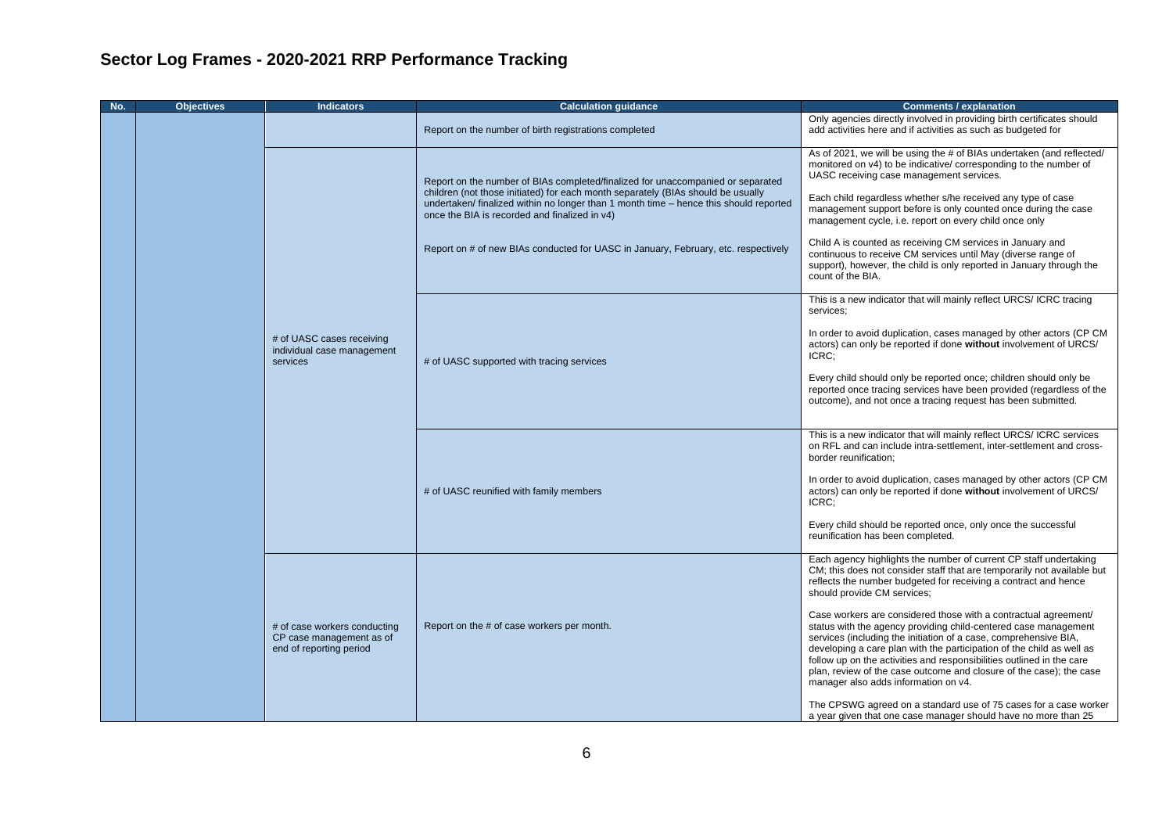| No. | <b>Objectives</b> | <b>Indicators</b>                                                                   | <b>Calculation guidance</b>                                                                                                                                                                                                                                                                                                                                                                         | <b>Comments / explanation</b>                                                                                                                                                                                                                                                                                                                                                                                                                                                                                                                                                                                                                                                                                                                                                                 |
|-----|-------------------|-------------------------------------------------------------------------------------|-----------------------------------------------------------------------------------------------------------------------------------------------------------------------------------------------------------------------------------------------------------------------------------------------------------------------------------------------------------------------------------------------------|-----------------------------------------------------------------------------------------------------------------------------------------------------------------------------------------------------------------------------------------------------------------------------------------------------------------------------------------------------------------------------------------------------------------------------------------------------------------------------------------------------------------------------------------------------------------------------------------------------------------------------------------------------------------------------------------------------------------------------------------------------------------------------------------------|
|     |                   |                                                                                     | Report on the number of birth registrations completed                                                                                                                                                                                                                                                                                                                                               | Only agencies directly involved in providing birth certificates should<br>add activities here and if activities as such as budgeted for                                                                                                                                                                                                                                                                                                                                                                                                                                                                                                                                                                                                                                                       |
|     |                   |                                                                                     | Report on the number of BIAs completed/finalized for unaccompanied or separated<br>children (not those initiated) for each month separately (BIAs should be usually<br>undertaken/ finalized within no longer than 1 month time - hence this should reported<br>once the BIA is recorded and finalized in v4)<br>Report on # of new BIAs conducted for UASC in January, February, etc. respectively | As of 2021, we will be using the # of BIAs undertaken (and reflected/<br>monitored on v4) to be indicative/ corresponding to the number of<br>UASC receiving case management services.<br>Each child regardless whether s/he received any type of case<br>management support before is only counted once during the case<br>management cycle, i.e. report on every child once only<br>Child A is counted as receiving CM services in January and<br>continuous to receive CM services until May (diverse range of<br>support), however, the child is only reported in January through the<br>count of the BIA.                                                                                                                                                                                |
|     |                   | # of UASC cases receiving<br>individual case management<br>services                 | # of UASC supported with tracing services                                                                                                                                                                                                                                                                                                                                                           | This is a new indicator that will mainly reflect URCS/ ICRC tracing<br>services:<br>In order to avoid duplication, cases managed by other actors (CP CM<br>actors) can only be reported if done without involvement of URCS/<br>ICRC:<br>Every child should only be reported once; children should only be<br>reported once tracing services have been provided (regardless of the<br>outcome), and not once a tracing request has been submitted.                                                                                                                                                                                                                                                                                                                                            |
|     |                   |                                                                                     | # of UASC reunified with family members                                                                                                                                                                                                                                                                                                                                                             | This is a new indicator that will mainly reflect URCS/ ICRC services<br>on RFL and can include intra-settlement, inter-settlement and cross-<br>border reunification;<br>In order to avoid duplication, cases managed by other actors (CP CM<br>actors) can only be reported if done without involvement of URCS/<br>ICRC:<br>Every child should be reported once, only once the successful<br>reunification has been completed.                                                                                                                                                                                                                                                                                                                                                              |
|     |                   | # of case workers conducting<br>CP case management as of<br>end of reporting period | Report on the # of case workers per month.                                                                                                                                                                                                                                                                                                                                                          | Each agency highlights the number of current CP staff undertaking<br>CM; this does not consider staff that are temporarily not available but<br>reflects the number budgeted for receiving a contract and hence<br>should provide CM services;<br>Case workers are considered those with a contractual agreement/<br>status with the agency providing child-centered case management<br>services (including the initiation of a case, comprehensive BIA,<br>developing a care plan with the participation of the child as well as<br>follow up on the activities and responsibilities outlined in the care<br>plan, review of the case outcome and closure of the case); the case<br>manager also adds information on v4.<br>The CPSWG agreed on a standard use of 75 cases for a case worker |
|     |                   |                                                                                     |                                                                                                                                                                                                                                                                                                                                                                                                     | a year given that one case manager should have no more than 25                                                                                                                                                                                                                                                                                                                                                                                                                                                                                                                                                                                                                                                                                                                                |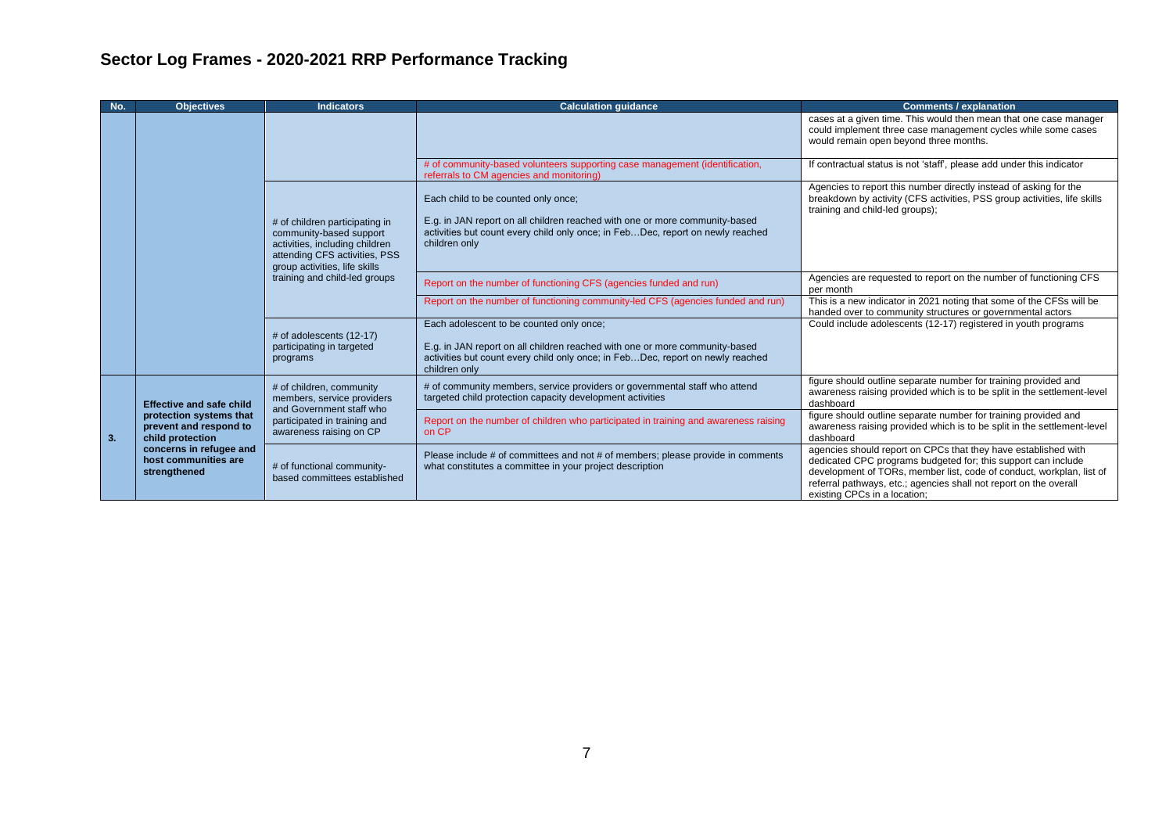| No. | <b>Objectives</b>                                                                                                                                                                              | <b>Indicators</b>                                                                                                                                                                                           | <b>Calculation quidance</b>                                                                                                                                                                                                | <b>Comments / explanation</b>                                                                                                                                                                                                                                                                                |
|-----|------------------------------------------------------------------------------------------------------------------------------------------------------------------------------------------------|-------------------------------------------------------------------------------------------------------------------------------------------------------------------------------------------------------------|----------------------------------------------------------------------------------------------------------------------------------------------------------------------------------------------------------------------------|--------------------------------------------------------------------------------------------------------------------------------------------------------------------------------------------------------------------------------------------------------------------------------------------------------------|
|     |                                                                                                                                                                                                |                                                                                                                                                                                                             |                                                                                                                                                                                                                            | cases at a given time. This would then mean that one case manager<br>could implement three case management cycles while some cases<br>would remain open beyond three months.                                                                                                                                 |
|     |                                                                                                                                                                                                |                                                                                                                                                                                                             | # of community-based volunteers supporting case management (identification,<br>referrals to CM agencies and monitoring)                                                                                                    | If contractual status is not 'staff', please add under this indicator                                                                                                                                                                                                                                        |
|     | # of children participating in<br>community-based support<br>activities, including children<br>attending CFS activities, PSS<br>group activities, life skills<br>training and child-led groups |                                                                                                                                                                                                             | Each child to be counted only once;<br>E.g. in JAN report on all children reached with one or more community-based<br>activities but count every child only once; in FebDec, report on newly reached<br>children only      | Agencies to report this number directly instead of asking for the<br>breakdown by activity (CFS activities, PSS group activities, life skills<br>training and child-led groups);                                                                                                                             |
|     |                                                                                                                                                                                                |                                                                                                                                                                                                             | Report on the number of functioning CFS (agencies funded and run)                                                                                                                                                          | Agencies are requested to report on the number of functioning CFS<br>per month                                                                                                                                                                                                                               |
|     |                                                                                                                                                                                                |                                                                                                                                                                                                             | Report on the number of functioning community-led CFS (agencies funded and run)                                                                                                                                            | This is a new indicator in 2021 noting that some of the CFSs will be<br>handed over to community structures or governmental actors                                                                                                                                                                           |
|     |                                                                                                                                                                                                | # of adolescents (12-17)<br>participating in targeted<br>programs                                                                                                                                           | Each adolescent to be counted only once;<br>E.g. in JAN report on all children reached with one or more community-based<br>activities but count every child only once; in FebDec, report on newly reached<br>children only | Could include adolescents (12-17) registered in youth programs                                                                                                                                                                                                                                               |
| 3.  | <b>Effective and safe child</b><br>protection systems that<br>prevent and respond to<br>child protection<br>concerns in refugee and<br>host communities are<br>strengthened                    | # of children, community<br>members, service providers<br>and Government staff who<br>participated in training and<br>awareness raising on CP<br># of functional community-<br>based committees established | # of community members, service providers or governmental staff who attend<br>targeted child protection capacity development activities                                                                                    | figure should outline separate number for training provided and<br>awareness raising provided which is to be split in the settlement-level<br>dashboard                                                                                                                                                      |
|     |                                                                                                                                                                                                |                                                                                                                                                                                                             | Report on the number of children who participated in training and awareness raising<br>on CP                                                                                                                               | figure should outline separate number for training provided and<br>awareness raising provided which is to be split in the settlement-level<br>dashboard                                                                                                                                                      |
|     |                                                                                                                                                                                                |                                                                                                                                                                                                             | Please include # of committees and not # of members; please provide in comments<br>what constitutes a committee in your project description                                                                                | agencies should report on CPCs that they have established with<br>dedicated CPC programs budgeted for; this support can include<br>development of TORs, member list, code of conduct, workplan, list of<br>referral pathways, etc.; agencies shall not report on the overall<br>existing CPCs in a location; |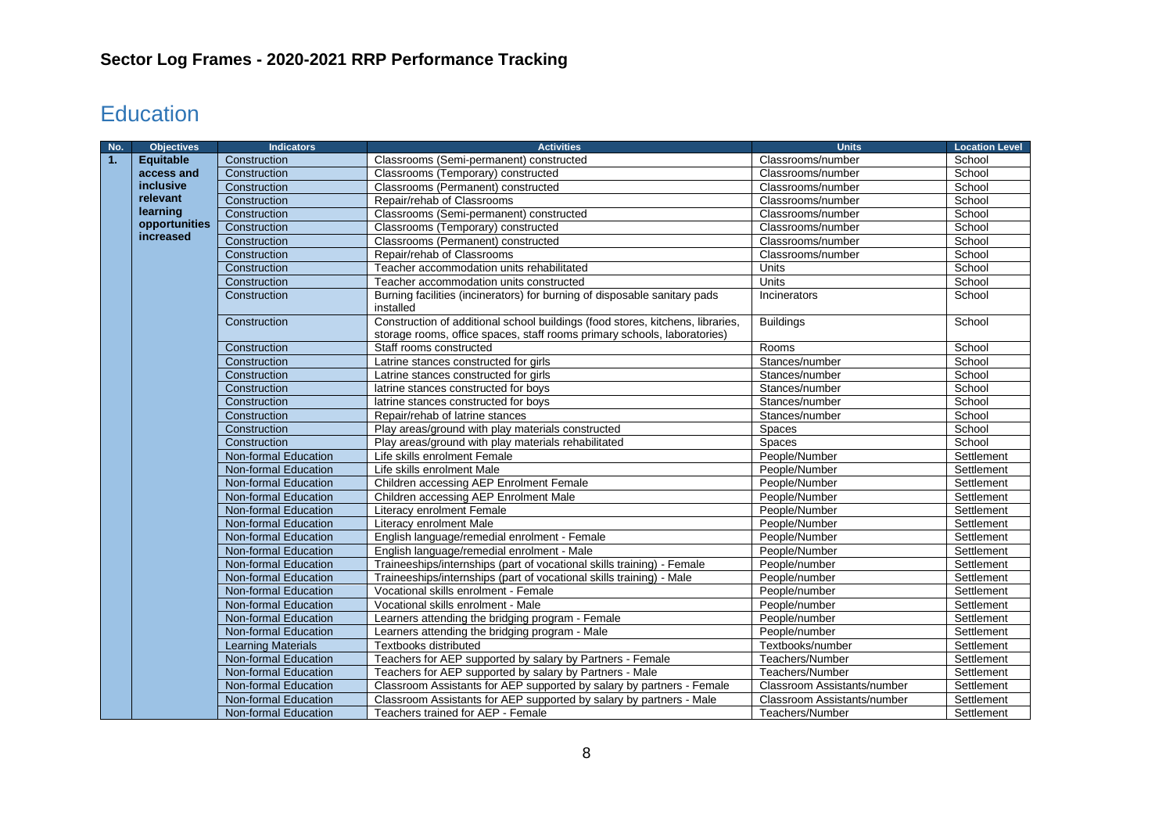# <span id="page-7-0"></span>**Education**

| No. | <b>Objectives</b> | <b>Indicators</b>         | <b>Activities</b>                                                                                                                                          | <b>Units</b>                | <b>Location Level</b> |
|-----|-------------------|---------------------------|------------------------------------------------------------------------------------------------------------------------------------------------------------|-----------------------------|-----------------------|
| 1.  | Equitable         | Construction              | Classrooms (Semi-permanent) constructed                                                                                                                    | Classrooms/number           | School                |
|     | access and        | Construction              | Classrooms (Temporary) constructed                                                                                                                         | Classrooms/number           | School                |
|     | inclusive         | Construction              | Classrooms (Permanent) constructed                                                                                                                         | Classrooms/number           | School                |
|     | relevant          | Construction              | Repair/rehab of Classrooms                                                                                                                                 | Classrooms/number           | School                |
|     | learning          | Construction              | Classrooms (Semi-permanent) constructed                                                                                                                    | Classrooms/number           | School                |
|     | opportunities     | Construction              | Classrooms (Temporary) constructed                                                                                                                         | Classrooms/number           | School                |
|     | increased         | Construction              | Classrooms (Permanent) constructed                                                                                                                         | Classrooms/number           | School                |
|     |                   | Construction              | Repair/rehab of Classrooms                                                                                                                                 | Classrooms/number           | School                |
|     |                   | Construction              | Teacher accommodation units rehabilitated                                                                                                                  | Units                       | School                |
|     |                   | Construction              | Teacher accommodation units constructed                                                                                                                    | Units                       | School                |
|     |                   | Construction              | Burning facilities (incinerators) for burning of disposable sanitary pads<br>installed                                                                     | Incinerators                | School                |
|     |                   | Construction              | Construction of additional school buildings (food stores, kitchens, libraries,<br>storage rooms, office spaces, staff rooms primary schools, laboratories) | <b>Buildings</b>            | School                |
|     |                   | Construction              | Staff rooms constructed                                                                                                                                    | Rooms                       | School                |
|     |                   | Construction              | Latrine stances constructed for girls                                                                                                                      | Stances/number              | School                |
|     |                   | Construction              | Latrine stances constructed for girls                                                                                                                      | Stances/number              | School                |
|     |                   | Construction              | latrine stances constructed for boys                                                                                                                       | Stances/number              | School                |
|     |                   | Construction              | latrine stances constructed for boys                                                                                                                       | Stances/number              | School                |
|     |                   | Construction              | Repair/rehab of latrine stances                                                                                                                            | Stances/number              | School                |
|     |                   | Construction              | Play areas/ground with play materials constructed                                                                                                          | <b>Spaces</b>               | School                |
|     |                   | Construction              | Play areas/ground with play materials rehabilitated                                                                                                        | <b>Spaces</b>               | School                |
|     |                   | Non-formal Education      | Life skills enrolment Female                                                                                                                               | People/Number               | Settlement            |
|     |                   | Non-formal Education      | Life skills enrolment Male                                                                                                                                 | People/Number               | Settlement            |
|     |                   | Non-formal Education      | Children accessing AEP Enrolment Female                                                                                                                    | People/Number               | Settlement            |
|     |                   | Non-formal Education      | Children accessing AEP Enrolment Male                                                                                                                      | People/Number               | Settlement            |
|     |                   | Non-formal Education      | Literacy enrolment Female                                                                                                                                  | People/Number               | Settlement            |
|     |                   | Non-formal Education      | Literacy enrolment Male                                                                                                                                    | People/Number               | Settlement            |
|     |                   | Non-formal Education      | English language/remedial enrolment - Female                                                                                                               | People/Number               | Settlement            |
|     |                   | Non-formal Education      | English language/remedial enrolment - Male                                                                                                                 | People/Number               | Settlement            |
|     |                   | Non-formal Education      | Traineeships/internships (part of vocational skills training) - Female                                                                                     | People/number               | Settlement            |
|     |                   | Non-formal Education      | Traineeships/internships (part of vocational skills training) - Male                                                                                       | People/number               | Settlement            |
|     |                   | Non-formal Education      | Vocational skills enrolment - Female                                                                                                                       | People/number               | Settlement            |
|     |                   | Non-formal Education      | Vocational skills enrolment - Male                                                                                                                         | People/number               | Settlement            |
|     |                   | Non-formal Education      | Learners attending the bridging program - Female                                                                                                           | People/number               | Settlement            |
|     |                   | Non-formal Education      | Learners attending the bridging program - Male                                                                                                             | People/number               | Settlement            |
|     |                   | <b>Learning Materials</b> | Textbooks distributed                                                                                                                                      | Textbooks/number            | Settlement            |
|     |                   | Non-formal Education      | Teachers for AEP supported by salary by Partners - Female                                                                                                  | Teachers/Number             | Settlement            |
|     |                   | Non-formal Education      | Teachers for AEP supported by salary by Partners - Male                                                                                                    | Teachers/Number             | Settlement            |
|     |                   | Non-formal Education      | Classroom Assistants for AEP supported by salary by partners - Female                                                                                      | Classroom Assistants/number | Settlement            |
|     |                   | Non-formal Education      | Classroom Assistants for AEP supported by salary by partners - Male                                                                                        | Classroom Assistants/number | Settlement            |
|     |                   | Non-formal Education      | Teachers trained for AEP - Female                                                                                                                          | Teachers/Number             | Settlement            |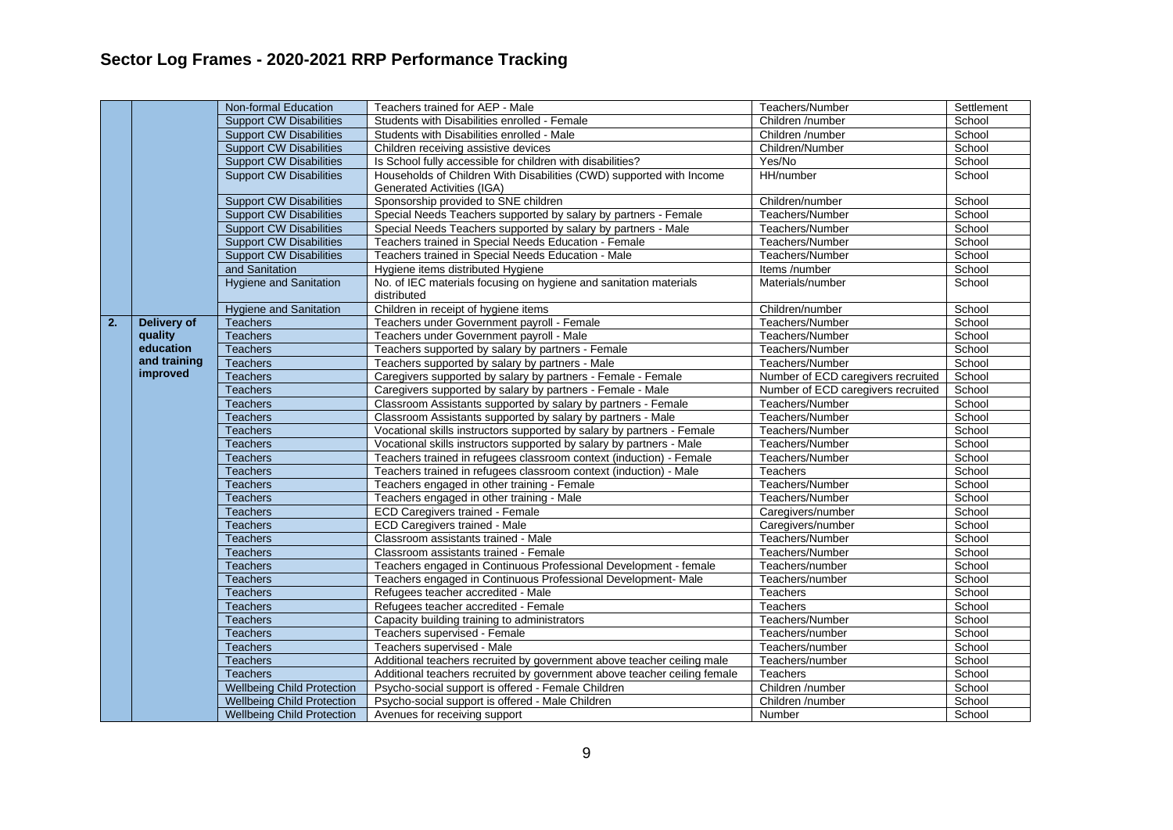|    |                    | Non-formal Education              | Teachers trained for AEP - Male                                          | Teachers/Number                    | Settlement |
|----|--------------------|-----------------------------------|--------------------------------------------------------------------------|------------------------------------|------------|
|    |                    | <b>Support CW Disabilities</b>    | Students with Disabilities enrolled - Female                             | Children /number                   | School     |
|    |                    | <b>Support CW Disabilities</b>    | Students with Disabilities enrolled - Male                               | Children /number                   | School     |
|    |                    | <b>Support CW Disabilities</b>    | Children receiving assistive devices                                     | Children/Number                    | School     |
|    |                    | <b>Support CW Disabilities</b>    | Is School fully accessible for children with disabilities?               | Yes/No                             | School     |
|    |                    | <b>Support CW Disabilities</b>    | Households of Children With Disabilities (CWD) supported with Income     | HH/number                          | School     |
|    |                    |                                   | <b>Generated Activities (IGA)</b>                                        |                                    |            |
|    |                    | <b>Support CW Disabilities</b>    | Sponsorship provided to SNE children                                     | Children/number                    | School     |
|    |                    | <b>Support CW Disabilities</b>    | Special Needs Teachers supported by salary by partners - Female          | Teachers/Number                    | School     |
|    |                    | <b>Support CW Disabilities</b>    | Special Needs Teachers supported by salary by partners - Male            | Teachers/Number                    | School     |
|    |                    | <b>Support CW Disabilities</b>    | Teachers trained in Special Needs Education - Female                     | Teachers/Number                    | School     |
|    |                    | <b>Support CW Disabilities</b>    | Teachers trained in Special Needs Education - Male                       | Teachers/Number                    | School     |
|    |                    | and Sanitation                    | Hygiene items distributed Hygiene                                        | Items /number                      | School     |
|    |                    | <b>Hygiene and Sanitation</b>     | No. of IEC materials focusing on hygiene and sanitation materials        | Materials/number                   | School     |
|    |                    |                                   | distributed                                                              |                                    |            |
|    |                    | <b>Hygiene and Sanitation</b>     | Children in receipt of hygiene items                                     | Children/number                    | School     |
| 2. | <b>Delivery of</b> | <b>Teachers</b>                   | Teachers under Government payroll - Female                               | Teachers/Number                    | School     |
|    | quality            | <b>Teachers</b>                   | Teachers under Government payroll - Male                                 | Teachers/Number                    | School     |
|    | education          | <b>Teachers</b>                   | Teachers supported by salary by partners - Female                        | Teachers/Number                    | School     |
|    | and training       | <b>Teachers</b>                   | Teachers supported by salary by partners - Male                          | Teachers/Number                    | School     |
|    | improved           | <b>Teachers</b>                   | Caregivers supported by salary by partners - Female - Female             | Number of ECD caregivers recruited | School     |
|    |                    | <b>Teachers</b>                   | Caregivers supported by salary by partners - Female - Male               | Number of ECD caregivers recruited | School     |
|    |                    | <b>Teachers</b>                   | Classroom Assistants supported by salary by partners - Female            | Teachers/Number                    | School     |
|    |                    | <b>Teachers</b>                   | Classroom Assistants supported by salary by partners - Male              | Teachers/Number                    | School     |
|    |                    | <b>Teachers</b>                   | Vocational skills instructors supported by salary by partners - Female   | Teachers/Number                    | School     |
|    |                    | <b>Teachers</b>                   | Vocational skills instructors supported by salary by partners - Male     | Teachers/Number                    | School     |
|    |                    | <b>Teachers</b>                   | Teachers trained in refugees classroom context (induction) - Female      | Teachers/Number                    | School     |
|    |                    | <b>Teachers</b>                   | Teachers trained in refugees classroom context (induction) - Male        | <b>Teachers</b>                    | School     |
|    |                    | <b>Teachers</b>                   | Teachers engaged in other training - Female                              | Teachers/Number                    | School     |
|    |                    | <b>Teachers</b>                   | Teachers engaged in other training - Male                                | Teachers/Number                    | School     |
|    |                    | <b>Teachers</b>                   | <b>ECD Caregivers trained - Female</b>                                   | Caregivers/number                  | School     |
|    |                    | <b>Teachers</b>                   | <b>ECD Caregivers trained - Male</b>                                     | Caregivers/number                  | School     |
|    |                    | <b>Teachers</b>                   | Classroom assistants trained - Male                                      | Teachers/Number                    | School     |
|    |                    | <b>Teachers</b>                   | Classroom assistants trained - Female                                    | Teachers/Number                    | School     |
|    |                    | <b>Teachers</b>                   | Teachers engaged in Continuous Professional Development - female         | Teachers/number                    | School     |
|    |                    | <b>Teachers</b>                   | Teachers engaged in Continuous Professional Development- Male            | Teachers/number                    | School     |
|    |                    | <b>Teachers</b>                   | Refugees teacher accredited - Male                                       | <b>Teachers</b>                    | School     |
|    |                    | <b>Teachers</b>                   | Refugees teacher accredited - Female                                     | <b>Teachers</b>                    | School     |
|    |                    | <b>Teachers</b>                   | Capacity building training to administrators                             | Teachers/Number                    | School     |
|    |                    | <b>Teachers</b>                   | Teachers supervised - Female                                             | Teachers/number                    | School     |
|    |                    | <b>Teachers</b>                   | Teachers supervised - Male                                               | Teachers/number                    | School     |
|    |                    | <b>Teachers</b>                   | Additional teachers recruited by government above teacher ceiling male   | Teachers/number                    | School     |
|    |                    | <b>Teachers</b>                   | Additional teachers recruited by government above teacher ceiling female | Teachers                           | School     |
|    |                    | <b>Wellbeing Child Protection</b> |                                                                          | Children /number                   | School     |
|    |                    |                                   | Psycho-social support is offered - Female Children                       |                                    |            |
|    |                    | <b>Wellbeing Child Protection</b> | Psycho-social support is offered - Male Children                         | Children /number                   | School     |
|    |                    | <b>Wellbeing Child Protection</b> | Avenues for receiving support                                            | Number                             | School     |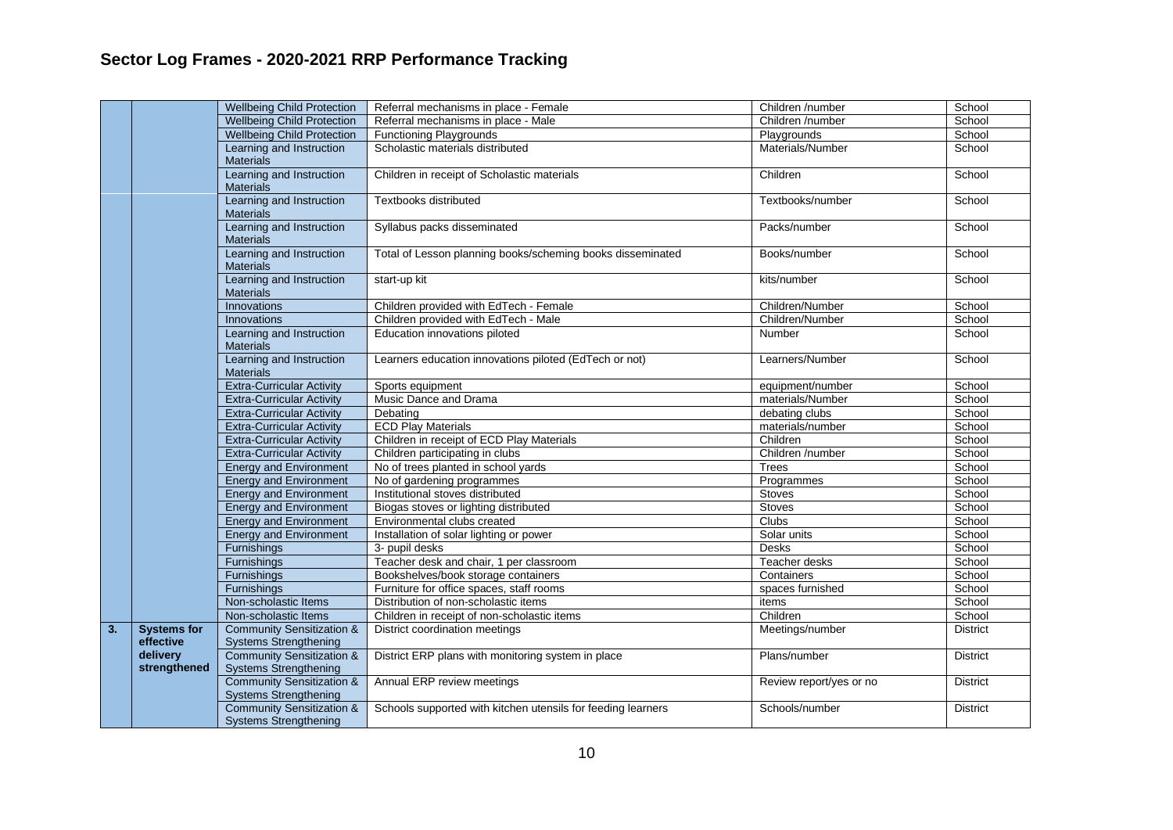|    |                                 | <b>Wellbeing Child Protection</b>                                    | Referral mechanisms in place - Female                        | Children /number        | School          |
|----|---------------------------------|----------------------------------------------------------------------|--------------------------------------------------------------|-------------------------|-----------------|
|    |                                 | <b>Wellbeing Child Protection</b>                                    | Referral mechanisms in place - Male                          | Children /number        | School          |
|    |                                 | <b>Wellbeing Child Protection</b>                                    | <b>Functioning Playgrounds</b>                               | Playgrounds             | School          |
|    |                                 | Learning and Instruction<br><b>Materials</b>                         | Scholastic materials distributed                             | Materials/Number        | School          |
|    |                                 | Learning and Instruction<br><b>Materials</b>                         | Children in receipt of Scholastic materials                  | Children                | School          |
|    |                                 | Learning and Instruction<br><b>Materials</b>                         | Textbooks distributed                                        | Textbooks/number        | School          |
|    |                                 | Learning and Instruction<br><b>Materials</b>                         | Syllabus packs disseminated                                  | Packs/number            | School          |
|    |                                 | Learning and Instruction<br><b>Materials</b>                         | Total of Lesson planning books/scheming books disseminated   | Books/number            | School          |
|    |                                 | Learning and Instruction<br><b>Materials</b>                         | start-up kit                                                 | kits/number             | School          |
|    |                                 | <b>Innovations</b>                                                   | Children provided with EdTech - Female                       | Children/Number         | School          |
|    |                                 | <b>Innovations</b>                                                   | Children provided with EdTech - Male                         | Children/Number         | School          |
|    |                                 | Learning and Instruction<br><b>Materials</b>                         | Education innovations piloted                                | Number                  | School          |
|    |                                 | Learning and Instruction<br><b>Materials</b>                         | Learners education innovations piloted (EdTech or not)       | Learners/Number         | School          |
|    |                                 | <b>Extra-Curricular Activity</b>                                     | Sports equipment                                             | equipment/number        | School          |
|    |                                 | <b>Extra-Curricular Activity</b>                                     | Music Dance and Drama                                        | materials/Number        | School          |
|    |                                 | <b>Extra-Curricular Activity</b>                                     | Debating                                                     | debating clubs          | School          |
|    |                                 | <b>Extra-Curricular Activity</b>                                     | <b>ECD Play Materials</b>                                    | materials/number        | School          |
|    |                                 | <b>Extra-Curricular Activity</b>                                     | Children in receipt of ECD Play Materials                    | Children                | School          |
|    |                                 | <b>Extra-Curricular Activity</b>                                     | Children participating in clubs                              | Children /number        | School          |
|    |                                 | <b>Energy and Environment</b>                                        | No of trees planted in school yards                          | <b>Trees</b>            | School          |
|    |                                 | <b>Energy and Environment</b>                                        | No of gardening programmes                                   | Programmes              | School          |
|    |                                 | <b>Energy and Environment</b>                                        | Institutional stoves distributed                             | Stoves                  | School          |
|    |                                 | <b>Energy and Environment</b>                                        | Biogas stoves or lighting distributed                        | <b>Stoves</b>           | School          |
|    |                                 | <b>Energy and Environment</b>                                        | Environmental clubs created                                  | <b>Clubs</b>            | School          |
|    |                                 | <b>Energy and Environment</b>                                        | Installation of solar lighting or power                      | Solar units             | School          |
|    |                                 | Furnishings                                                          | 3- pupil desks                                               | <b>Desks</b>            | School          |
|    |                                 | Furnishings                                                          | Teacher desk and chair, 1 per classroom                      | Teacher desks           | School          |
|    |                                 | Furnishings                                                          | Bookshelves/book storage containers                          | Containers              | School          |
|    |                                 | Furnishings                                                          | Furniture for office spaces, staff rooms                     | spaces furnished        | School          |
|    |                                 | Non-scholastic Items                                                 | Distribution of non-scholastic items                         | items                   | School          |
|    |                                 | Non-scholastic Items                                                 | Children in receipt of non-scholastic items                  | Children                | School          |
| 3. | <b>Systems for</b><br>effective | <b>Community Sensitization &amp;</b><br><b>Systems Strengthening</b> | District coordination meetings                               | Meetings/number         | <b>District</b> |
|    | delivery<br>strengthened        | Community Sensitization &<br><b>Systems Strengthening</b>            | District ERP plans with monitoring system in place           | Plans/number            | <b>District</b> |
|    |                                 | <b>Community Sensitization &amp;</b><br><b>Systems Strengthening</b> | Annual ERP review meetings                                   | Review report/yes or no | <b>District</b> |
|    |                                 | <b>Community Sensitization &amp;</b><br><b>Systems Strengthening</b> | Schools supported with kitchen utensils for feeding learners | Schools/number          | <b>District</b> |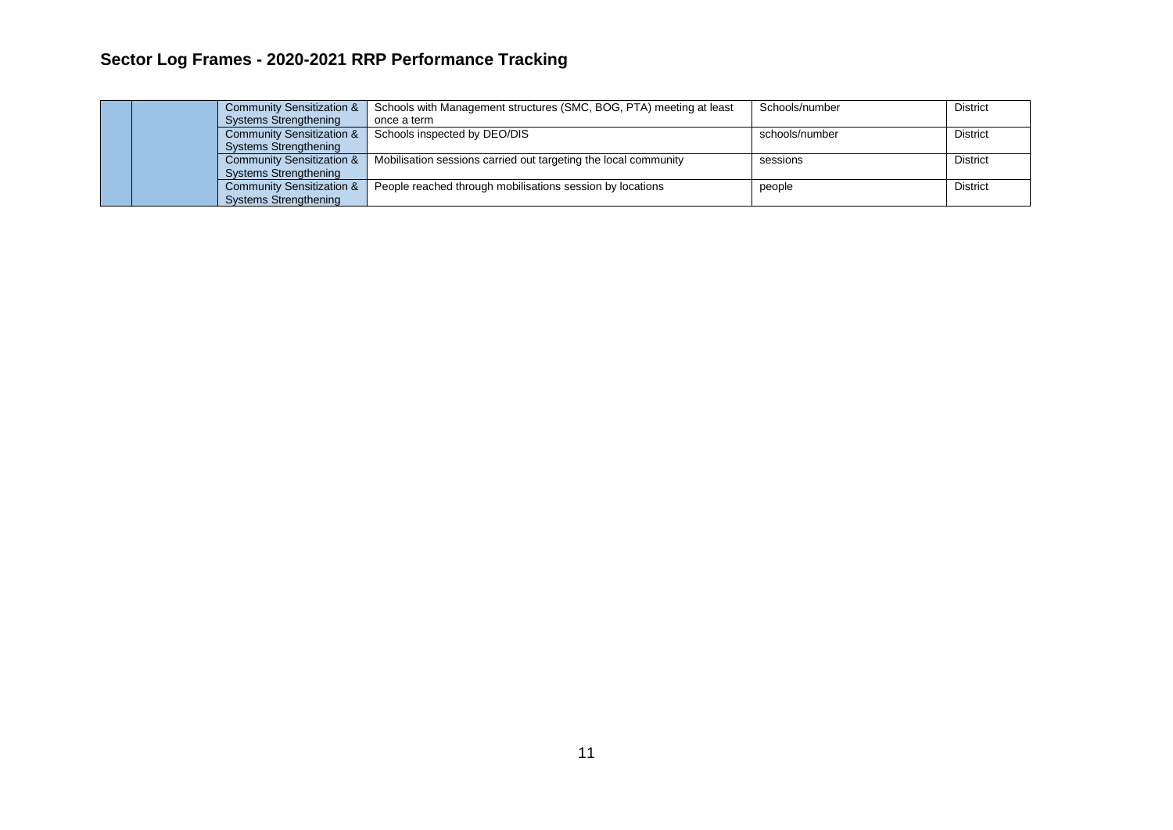<span id="page-10-0"></span>

|  |  | <b>Community Sensitization &amp;</b><br><b>Systems Strengthening</b> | Schools with Management structures (SMC, BOG, PTA) meeting at least<br>once a term | Schools/number | District        |
|--|--|----------------------------------------------------------------------|------------------------------------------------------------------------------------|----------------|-----------------|
|  |  | <b>Community Sensitization &amp;</b><br><b>Systems Strengthening</b> | Schools inspected by DEO/DIS                                                       | schools/number | <b>District</b> |
|  |  | <b>Community Sensitization &amp;</b><br><b>Systems Strengthening</b> | Mobilisation sessions carried out targeting the local community                    | sessions       | District        |
|  |  | <b>Community Sensitization &amp;</b><br><b>Systems Strengthening</b> | People reached through mobilisations session by locations                          | people         | District        |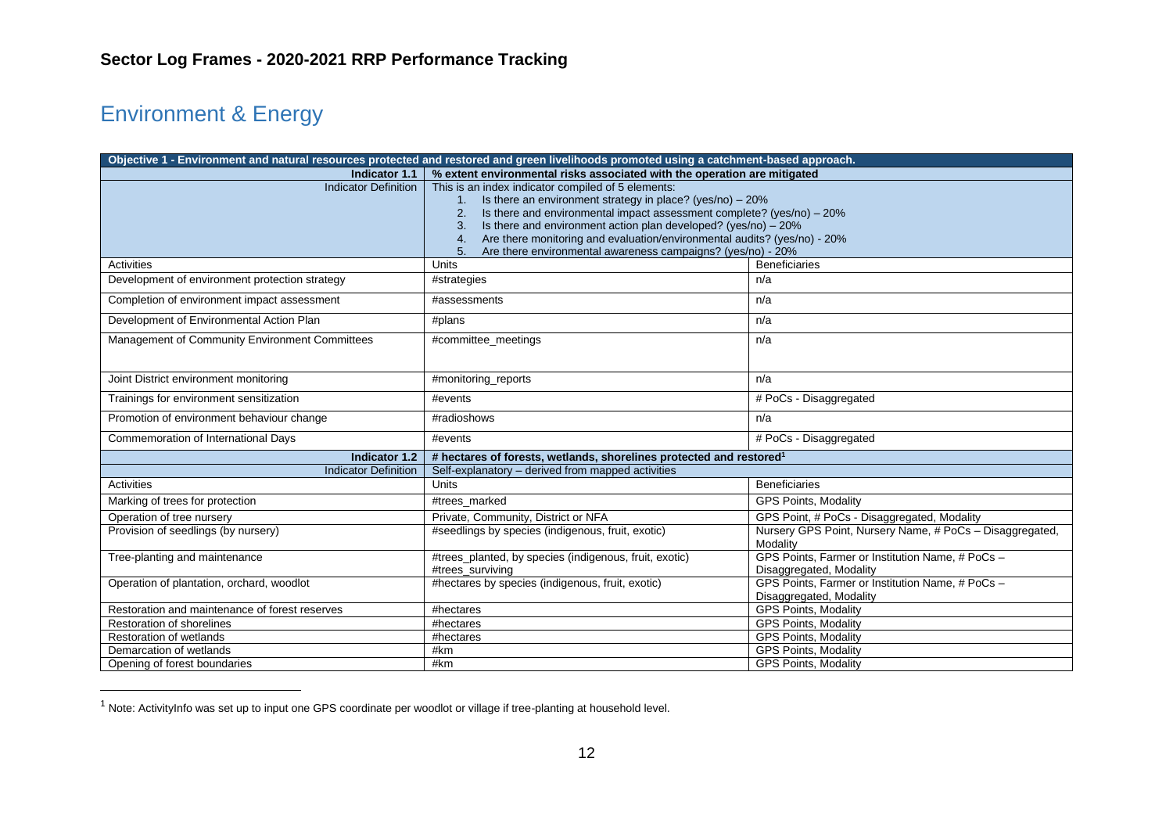# Environment & Energy

| Objective 1 - Environment and natural resources protected and restored and green livelihoods promoted using a catchment-based approach. |                                                                                                                                                                                                                                                                                                                                                                                                                               |                                                                             |  |
|-----------------------------------------------------------------------------------------------------------------------------------------|-------------------------------------------------------------------------------------------------------------------------------------------------------------------------------------------------------------------------------------------------------------------------------------------------------------------------------------------------------------------------------------------------------------------------------|-----------------------------------------------------------------------------|--|
| % extent environmental risks associated with the operation are mitigated<br>Indicator 1.1                                               |                                                                                                                                                                                                                                                                                                                                                                                                                               |                                                                             |  |
| <b>Indicator Definition</b>                                                                                                             | This is an index indicator compiled of 5 elements:<br>Is there an environment strategy in place? (yes/no) $-20\%$<br>Is there and environmental impact assessment complete? (yes/no) - 20%<br>2.<br>Is there and environment action plan developed? ( $yes/no$ ) – 20%<br>3.<br>Are there monitoring and evaluation/environmental audits? (yes/no) - 20%<br>4.<br>Are there environmental awareness campaigns? (yes/no) - 20% |                                                                             |  |
| Activities                                                                                                                              | Units                                                                                                                                                                                                                                                                                                                                                                                                                         | <b>Beneficiaries</b>                                                        |  |
| Development of environment protection strategy                                                                                          | #strategies                                                                                                                                                                                                                                                                                                                                                                                                                   | n/a                                                                         |  |
| Completion of environment impact assessment                                                                                             | #assessments                                                                                                                                                                                                                                                                                                                                                                                                                  | n/a                                                                         |  |
| Development of Environmental Action Plan                                                                                                | #plans                                                                                                                                                                                                                                                                                                                                                                                                                        | n/a                                                                         |  |
| Management of Community Environment Committees                                                                                          | #committee_meetings                                                                                                                                                                                                                                                                                                                                                                                                           | n/a                                                                         |  |
| Joint District environment monitoring                                                                                                   | #monitoring_reports                                                                                                                                                                                                                                                                                                                                                                                                           | n/a                                                                         |  |
| Trainings for environment sensitization                                                                                                 | #events                                                                                                                                                                                                                                                                                                                                                                                                                       | # PoCs - Disaggregated                                                      |  |
| Promotion of environment behaviour change                                                                                               | #radioshows                                                                                                                                                                                                                                                                                                                                                                                                                   | n/a                                                                         |  |
| Commemoration of International Days                                                                                                     | #events                                                                                                                                                                                                                                                                                                                                                                                                                       | # PoCs - Disaggregated                                                      |  |
| Indicator 1.2                                                                                                                           | # hectares of forests, wetlands, shorelines protected and restored <sup>1</sup>                                                                                                                                                                                                                                                                                                                                               |                                                                             |  |
| <b>Indicator Definition</b>                                                                                                             | Self-explanatory – derived from mapped activities                                                                                                                                                                                                                                                                                                                                                                             |                                                                             |  |
| Activities                                                                                                                              | <b>Units</b>                                                                                                                                                                                                                                                                                                                                                                                                                  | <b>Beneficiaries</b>                                                        |  |
| Marking of trees for protection                                                                                                         | #trees marked                                                                                                                                                                                                                                                                                                                                                                                                                 | <b>GPS Points, Modality</b>                                                 |  |
| Operation of tree nursery                                                                                                               | Private, Community, District or NFA                                                                                                                                                                                                                                                                                                                                                                                           | GPS Point, # PoCs - Disaggregated, Modality                                 |  |
| Provision of seedlings (by nursery)                                                                                                     | #seedlings by species (indigenous, fruit, exotic)                                                                                                                                                                                                                                                                                                                                                                             | Nursery GPS Point, Nursery Name, # PoCs - Disaggregated,<br>Modality        |  |
| Tree-planting and maintenance                                                                                                           | #trees_planted, by species (indigenous, fruit, exotic)<br>#trees surviving                                                                                                                                                                                                                                                                                                                                                    | GPS Points, Farmer or Institution Name, # PoCs -<br>Disaggregated, Modality |  |
| Operation of plantation, orchard, woodlot                                                                                               | #hectares by species (indigenous, fruit, exotic)                                                                                                                                                                                                                                                                                                                                                                              | GPS Points, Farmer or Institution Name, # PoCs -<br>Disaggregated, Modality |  |
| Restoration and maintenance of forest reserves                                                                                          | #hectares                                                                                                                                                                                                                                                                                                                                                                                                                     | GPS Points, Modality                                                        |  |
| Restoration of shorelines                                                                                                               | #hectares                                                                                                                                                                                                                                                                                                                                                                                                                     | <b>GPS Points, Modality</b>                                                 |  |
| <b>Restoration of wetlands</b>                                                                                                          | #hectares                                                                                                                                                                                                                                                                                                                                                                                                                     | GPS Points, Modality                                                        |  |
| Demarcation of wetlands                                                                                                                 | #km                                                                                                                                                                                                                                                                                                                                                                                                                           | <b>GPS Points, Modality</b>                                                 |  |
| Opening of forest boundaries                                                                                                            | #km                                                                                                                                                                                                                                                                                                                                                                                                                           | <b>GPS Points, Modality</b>                                                 |  |

 $1$  Note: ActivityInfo was set up to input one GPS coordinate per woodlot or village if tree-planting at household level.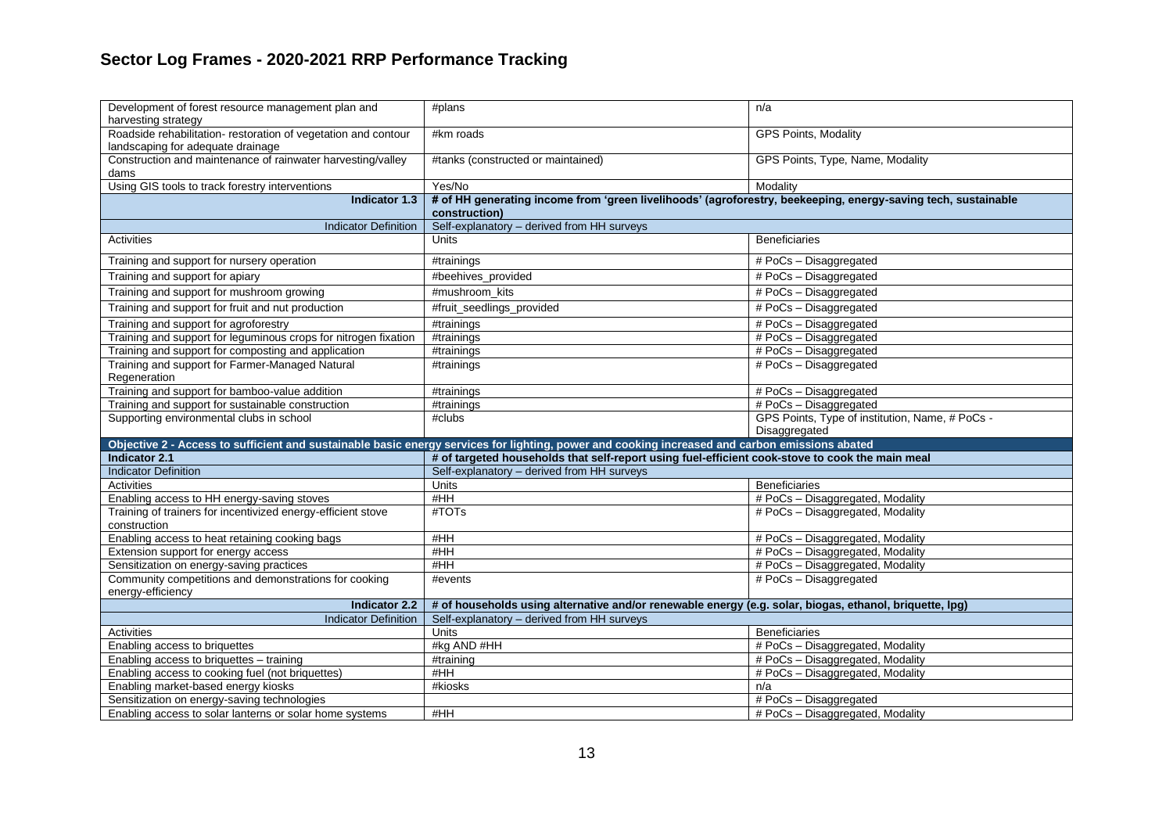| Development of forest resource management plan and<br>harvesting strategy                           | #plans                                                                                                                                         | n/a                                                              |
|-----------------------------------------------------------------------------------------------------|------------------------------------------------------------------------------------------------------------------------------------------------|------------------------------------------------------------------|
| Roadside rehabilitation- restoration of vegetation and contour<br>landscaping for adequate drainage | #km roads                                                                                                                                      | GPS Points, Modality                                             |
| Construction and maintenance of rainwater harvesting/valley                                         | #tanks (constructed or maintained)                                                                                                             | GPS Points, Type, Name, Modality                                 |
| dams                                                                                                |                                                                                                                                                |                                                                  |
| Using GIS tools to track forestry interventions                                                     | Yes/No                                                                                                                                         | Modality                                                         |
| Indicator 1.3                                                                                       | # of HH generating income from 'green livelihoods' (agroforestry, beekeeping, energy-saving tech, sustainable<br>construction)                 |                                                                  |
| <b>Indicator Definition</b>                                                                         | Self-explanatory - derived from HH surveys                                                                                                     |                                                                  |
| Activities                                                                                          | Units                                                                                                                                          | <b>Beneficiaries</b>                                             |
| Training and support for nursery operation                                                          | #trainings                                                                                                                                     | $#Pocs - Disaggregated$                                          |
| Training and support for apiary                                                                     | #beehives_provided                                                                                                                             | # PoCs - Disaggregated                                           |
| Training and support for mushroom growing                                                           | #mushroom kits                                                                                                                                 | # PoCs - Disaggregated                                           |
| Training and support for fruit and nut production                                                   | #fruit_seedlings_provided                                                                                                                      | # PoCs - Disaggregated                                           |
| Training and support for agroforestry                                                               | #trainings                                                                                                                                     | # PoCs - Disaggregated                                           |
| Training and support for leguminous crops for nitrogen fixation                                     | $\overline{\text{#} }$ trainings                                                                                                               | # PoCs - Disaggregated                                           |
| Training and support for composting and application                                                 | #trainings                                                                                                                                     | # PoCs - Disaggregated                                           |
| Training and support for Farmer-Managed Natural<br>Regeneration                                     | #trainings                                                                                                                                     | # PoCs - Disaggregated                                           |
| Training and support for bamboo-value addition                                                      | #trainings                                                                                                                                     | $# Pocs - Disaggregated$                                         |
| Training and support for sustainable construction                                                   | #trainings                                                                                                                                     | # PoCs - Disaggregated                                           |
| Supporting environmental clubs in school                                                            | #clubs                                                                                                                                         | GPS Points, Type of institution, Name, # PoCs -<br>Disaggregated |
|                                                                                                     | Objective 2 - Access to sufficient and sustainable basic energy services for lighting, power and cooking increased and carbon emissions abated |                                                                  |
| <b>Indicator 2.1</b>                                                                                | # of targeted households that self-report using fuel-efficient cook-stove to cook the main meal                                                |                                                                  |
| <b>Indicator Definition</b>                                                                         | Self-explanatory - derived from HH surveys                                                                                                     |                                                                  |
| <b>Activities</b>                                                                                   | Units                                                                                                                                          | <b>Beneficiaries</b>                                             |
| Enabling access to HH energy-saving stoves                                                          | #HH                                                                                                                                            | # PoCs - Disaggregated, Modality                                 |
| Training of trainers for incentivized energy-efficient stove<br>construction                        | #TOT <sub>S</sub>                                                                                                                              | # PoCs - Disaggregated, Modality                                 |
| Enabling access to heat retaining cooking bags                                                      | #HH                                                                                                                                            | # PoCs - Disaggregated, Modality                                 |
| Extension support for energy access                                                                 | #HH                                                                                                                                            | # PoCs - Disaggregated, Modality                                 |
| Sensitization on energy-saving practices                                                            | #HH                                                                                                                                            | # PoCs - Disaggregated, Modality                                 |
| Community competitions and demonstrations for cooking<br>energy-efficiency                          | #events                                                                                                                                        | # PoCs - Disaggregated                                           |
| <b>Indicator 2.2</b>                                                                                | # of households using alternative and/or renewable energy (e.g. solar, biogas, ethanol, briquette, lpg)                                        |                                                                  |
| <b>Indicator Definition</b>                                                                         | Self-explanatory - derived from HH surveys                                                                                                     |                                                                  |
| Activities                                                                                          | Units                                                                                                                                          | <b>Beneficiaries</b>                                             |
| Enabling access to briquettes                                                                       | #kg AND #HH                                                                                                                                    | # PoCs - Disaggregated, Modality                                 |
| Enabling access to briquettes - training                                                            | #training                                                                                                                                      | # PoCs - Disaggregated, Modality                                 |
| Enabling access to cooking fuel (not briquettes)                                                    | #HH                                                                                                                                            | # PoCs - Disaggregated, Modality                                 |
| Enabling market-based energy kiosks                                                                 | #kiosks                                                                                                                                        | n/a                                                              |
| Sensitization on energy-saving technologies                                                         |                                                                                                                                                | # PoCs - Disaggregated                                           |
| Enabling access to solar lanterns or solar home systems                                             | #HH                                                                                                                                            | # PoCs - Disaggregated, Modality                                 |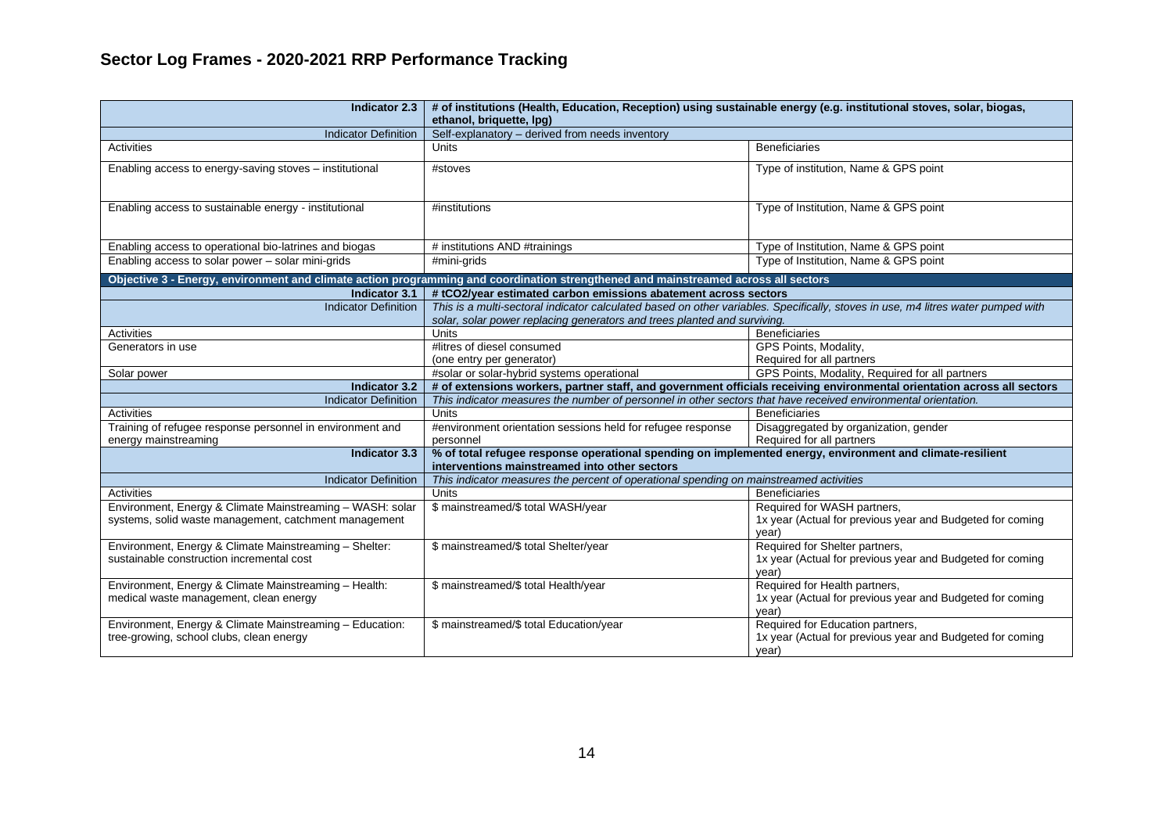| <b>Indicator 2.3</b>                                                                                               | # of institutions (Health, Education, Reception) using sustainable energy (e.g. institutional stoves, solar, biogas,<br>ethanol, briquette, lpq)                                                             |                                                                                                        |  |
|--------------------------------------------------------------------------------------------------------------------|--------------------------------------------------------------------------------------------------------------------------------------------------------------------------------------------------------------|--------------------------------------------------------------------------------------------------------|--|
| <b>Indicator Definition</b>                                                                                        | Self-explanatory - derived from needs inventory                                                                                                                                                              |                                                                                                        |  |
| Activities                                                                                                         | <b>Units</b>                                                                                                                                                                                                 | <b>Beneficiaries</b>                                                                                   |  |
| Enabling access to energy-saving stoves - institutional                                                            | #stoves                                                                                                                                                                                                      | Type of institution, Name & GPS point                                                                  |  |
| Enabling access to sustainable energy - institutional                                                              | #institutions                                                                                                                                                                                                | Type of Institution, Name & GPS point                                                                  |  |
| Enabling access to operational bio-latrines and biogas                                                             | # institutions AND #trainings                                                                                                                                                                                | Type of Institution, Name & GPS point                                                                  |  |
| Enabling access to solar power - solar mini-grids                                                                  | #mini-grids                                                                                                                                                                                                  | Type of Institution, Name & GPS point                                                                  |  |
|                                                                                                                    | Objective 3 - Energy, environment and climate action programming and coordination strengthened and mainstreamed across all sectors                                                                           |                                                                                                        |  |
| Indicator 3.1                                                                                                      | #tCO2/year estimated carbon emissions abatement across sectors                                                                                                                                               |                                                                                                        |  |
| <b>Indicator Definition</b>                                                                                        | This is a multi-sectoral indicator calculated based on other variables. Specifically, stoves in use, m4 litres water pumped with<br>solar, solar power replacing generators and trees planted and surviving. |                                                                                                        |  |
| Activities                                                                                                         | Units<br><b>Beneficiaries</b>                                                                                                                                                                                |                                                                                                        |  |
| Generators in use                                                                                                  | #litres of diesel consumed                                                                                                                                                                                   | GPS Points, Modality,                                                                                  |  |
|                                                                                                                    | (one entry per generator)                                                                                                                                                                                    | Required for all partners                                                                              |  |
| Solar power                                                                                                        | #solar or solar-hybrid systems operational                                                                                                                                                                   | GPS Points, Modality, Required for all partners                                                        |  |
| <b>Indicator 3.2</b>                                                                                               | # of extensions workers, partner staff, and government officials receiving environmental orientation across all sectors                                                                                      |                                                                                                        |  |
| <b>Indicator Definition</b>                                                                                        | This indicator measures the number of personnel in other sectors that have received environmental orientation.                                                                                               |                                                                                                        |  |
| Activities                                                                                                         | Units                                                                                                                                                                                                        | <b>Beneficiaries</b>                                                                                   |  |
| Training of refugee response personnel in environment and<br>energy mainstreaming                                  | #environment orientation sessions held for refugee response<br>personnel                                                                                                                                     | Disaggregated by organization, gender<br>Required for all partners                                     |  |
| <b>Indicator 3.3</b>                                                                                               | % of total refugee response operational spending on implemented energy, environment and climate-resilient<br>interventions mainstreamed into other sectors                                                   |                                                                                                        |  |
| <b>Indicator Definition</b>                                                                                        | This indicator measures the percent of operational spending on mainstreamed activities                                                                                                                       |                                                                                                        |  |
| Activities                                                                                                         | Units                                                                                                                                                                                                        | <b>Beneficiaries</b>                                                                                   |  |
| Environment, Energy & Climate Mainstreaming - WASH: solar<br>systems, solid waste management, catchment management | \$ mainstreamed/\$ total WASH/year                                                                                                                                                                           | Required for WASH partners,<br>1x year (Actual for previous year and Budgeted for coming<br>year)      |  |
| Environment, Energy & Climate Mainstreaming - Shelter:<br>sustainable construction incremental cost                | \$ mainstreamed/\$ total Shelter/year                                                                                                                                                                        | Required for Shelter partners,<br>1x year (Actual for previous year and Budgeted for coming<br>vear)   |  |
| Environment, Energy & Climate Mainstreaming - Health:<br>medical waste management, clean energy                    | \$ mainstreamed/\$ total Health/year                                                                                                                                                                         | Required for Health partners,<br>1x year (Actual for previous year and Budgeted for coming<br>year)    |  |
| Environment, Energy & Climate Mainstreaming - Education:<br>tree-growing, school clubs, clean energy               | \$ mainstreamed/\$ total Education/year                                                                                                                                                                      | Required for Education partners,<br>1x year (Actual for previous year and Budgeted for coming<br>year) |  |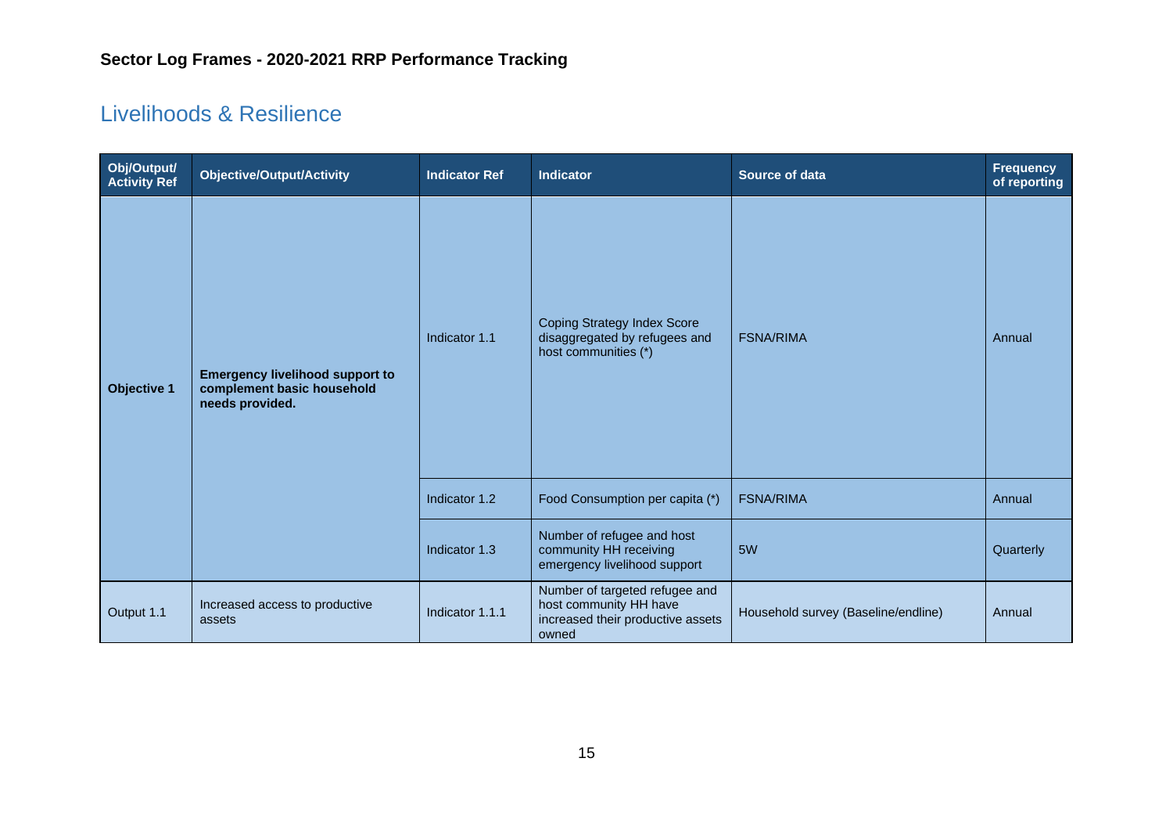## <span id="page-14-0"></span>Livelihoods & Resilience

| Obj/Output/<br><b>Activity Ref</b> | <b>Objective/Output/Activity</b>                                                        | <b>Indicator Ref</b> | <b>Indicator</b>                                                                                       | Source of data                      | <b>Frequency</b><br>of reporting |
|------------------------------------|-----------------------------------------------------------------------------------------|----------------------|--------------------------------------------------------------------------------------------------------|-------------------------------------|----------------------------------|
| <b>Objective 1</b>                 | <b>Emergency livelihood support to</b><br>complement basic household<br>needs provided. | Indicator 1.1        | <b>Coping Strategy Index Score</b><br>disaggregated by refugees and<br>host communities (*)            | <b>FSNA/RIMA</b>                    | Annual                           |
|                                    |                                                                                         | Indicator 1.2        | Food Consumption per capita (*)                                                                        | <b>FSNA/RIMA</b>                    | Annual                           |
|                                    |                                                                                         | Indicator 1.3        | Number of refugee and host<br>community HH receiving<br>emergency livelihood support                   | 5W                                  | Quarterly                        |
| Output 1.1                         | Increased access to productive<br>assets                                                | Indicator 1.1.1      | Number of targeted refugee and<br>host community HH have<br>increased their productive assets<br>owned | Household survey (Baseline/endline) | Annual                           |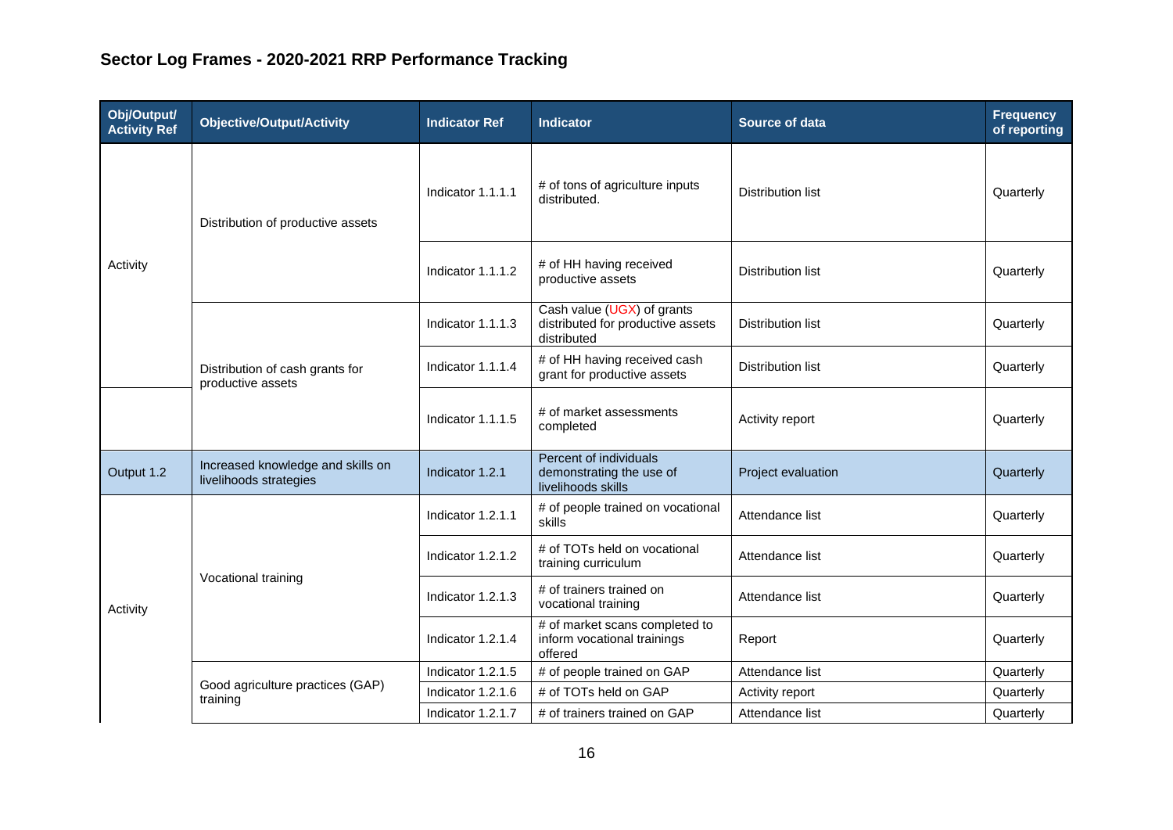| Obj/Output/<br><b>Activity Ref</b> | <b>Objective/Output/Activity</b>                            | <b>Indicator Ref</b> | <b>Indicator</b>                                                               | Source of data           | <b>Frequency</b><br>of reporting |
|------------------------------------|-------------------------------------------------------------|----------------------|--------------------------------------------------------------------------------|--------------------------|----------------------------------|
|                                    | Distribution of productive assets                           | Indicator 1.1.1.1    | # of tons of agriculture inputs<br>distributed.                                | <b>Distribution list</b> | Quarterly                        |
| Activity                           |                                                             | Indicator 1.1.1.2    | # of HH having received<br>productive assets                                   | <b>Distribution list</b> | Quarterly                        |
|                                    |                                                             | Indicator 1.1.1.3    | Cash value (UGX) of grants<br>distributed for productive assets<br>distributed | <b>Distribution list</b> | Quarterly                        |
|                                    | Distribution of cash grants for<br>productive assets        | Indicator 1.1.1.4    | # of HH having received cash<br>grant for productive assets                    | <b>Distribution list</b> | Quarterly                        |
|                                    |                                                             | Indicator 1.1.1.5    | # of market assessments<br>completed                                           | Activity report          | Quarterly                        |
| Output 1.2                         | Increased knowledge and skills on<br>livelihoods strategies | Indicator 1.2.1      | Percent of individuals<br>demonstrating the use of<br>livelihoods skills       | Project evaluation       | Quarterly                        |
|                                    |                                                             | Indicator 1.2.1.1    | # of people trained on vocational<br>skills                                    | Attendance list          | Quarterly                        |
|                                    |                                                             | Indicator 1.2.1.2    | # of TOTs held on vocational<br>training curriculum                            | Attendance list          | Quarterly                        |
| Activity                           | Vocational training                                         | Indicator 1.2.1.3    | # of trainers trained on<br>vocational training                                | Attendance list          | Quarterly                        |
|                                    |                                                             | Indicator 1.2.1.4    | # of market scans completed to<br>inform vocational trainings<br>offered       | Report                   | Quarterly                        |
|                                    |                                                             | Indicator 1.2.1.5    | # of people trained on GAP                                                     | Attendance list          | Quarterly                        |
|                                    | Good agriculture practices (GAP)<br>training                | Indicator 1.2.1.6    | # of TOTs held on GAP                                                          | Activity report          | Quarterly                        |
|                                    |                                                             | Indicator 1.2.1.7    | # of trainers trained on GAP                                                   | Attendance list          | Quarterly                        |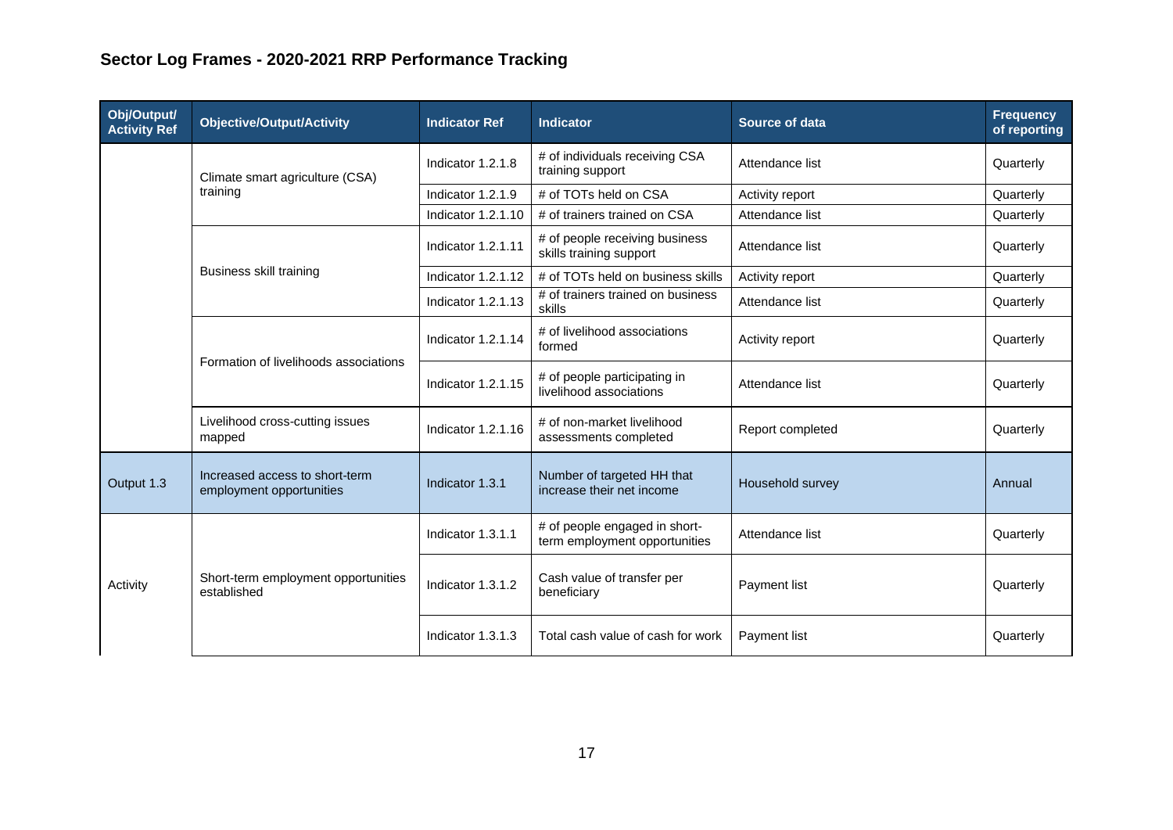| Obj/Output/<br><b>Activity Ref</b> | <b>Objective/Output/Activity</b>                           | <b>Indicator Ref</b>      | Indicator                                                      | <b>Source of data</b> | <b>Frequency</b><br>of reporting |
|------------------------------------|------------------------------------------------------------|---------------------------|----------------------------------------------------------------|-----------------------|----------------------------------|
|                                    | Climate smart agriculture (CSA)                            | Indicator 1.2.1.8         | # of individuals receiving CSA<br>training support             | Attendance list       | Quarterly                        |
|                                    | training                                                   | Indicator 1.2.1.9         | # of TOTs held on CSA                                          | Activity report       | Quarterly                        |
|                                    |                                                            | <b>Indicator 1.2.1.10</b> | # of trainers trained on CSA                                   | Attendance list       | Quarterly                        |
|                                    |                                                            | <b>Indicator 1.2.1.11</b> | # of people receiving business<br>skills training support      | Attendance list       | Quarterly                        |
|                                    | <b>Business skill training</b>                             | <b>Indicator 1.2.1.12</b> | # of TOTs held on business skills                              | Activity report       | Quarterly                        |
|                                    |                                                            | <b>Indicator 1.2.1.13</b> | # of trainers trained on business<br>skills                    | Attendance list       | Quarterly                        |
|                                    | Formation of livelihoods associations                      | Indicator 1.2.1.14        | # of livelihood associations<br>formed                         | Activity report       | Quarterly                        |
|                                    |                                                            | <b>Indicator 1.2.1.15</b> | # of people participating in<br>livelihood associations        | Attendance list       | Quarterly                        |
|                                    | Livelihood cross-cutting issues<br>mapped                  | Indicator 1.2.1.16        | # of non-market livelihood<br>assessments completed            | Report completed      | Quarterly                        |
| Output 1.3                         | Increased access to short-term<br>employment opportunities | Indicator 1.3.1           | Number of targeted HH that<br>increase their net income        | Household survey      | Annual                           |
|                                    |                                                            | Indicator 1.3.1.1         | # of people engaged in short-<br>term employment opportunities | Attendance list       | Quarterly                        |
| Activity                           | Short-term employment opportunities<br>established         | Indicator 1.3.1.2         | Cash value of transfer per<br>beneficiary                      | Payment list          | Quarterly                        |
|                                    |                                                            | Indicator 1.3.1.3         | Total cash value of cash for work                              | Payment list          | Quarterly                        |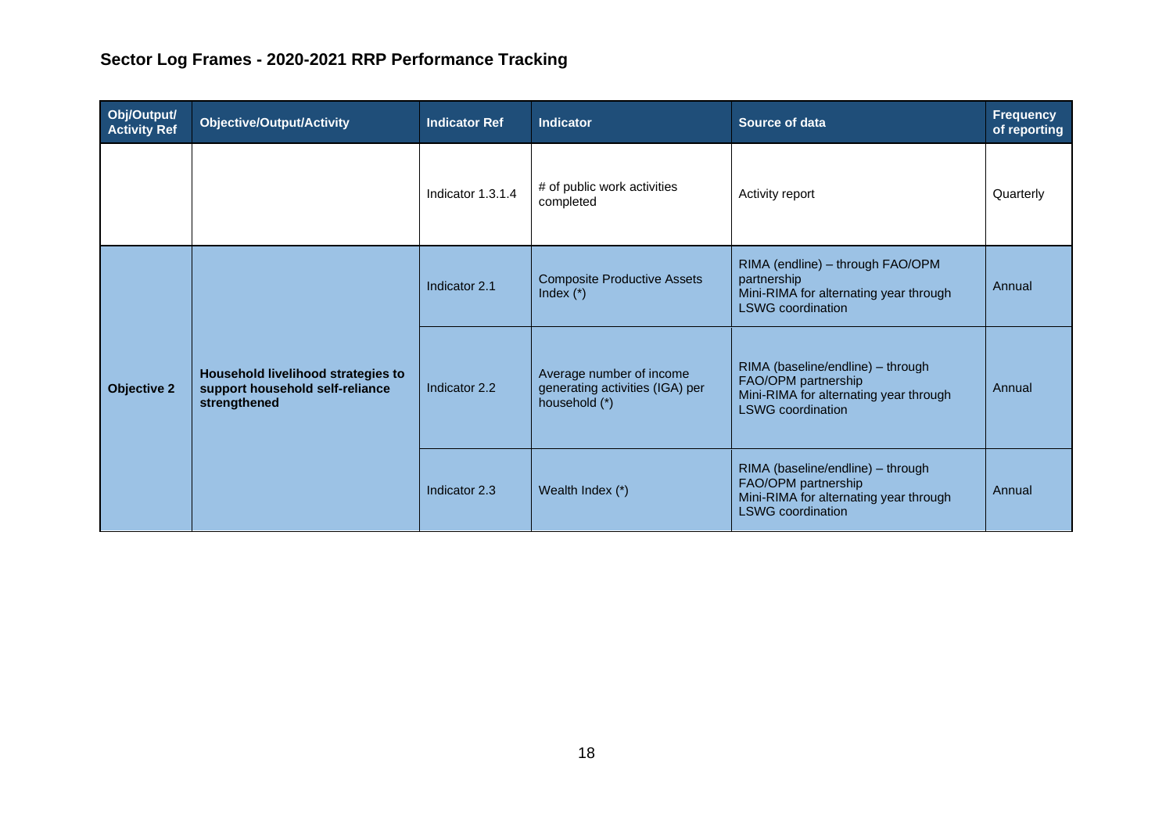| Obj/Output/<br><b>Activity Ref</b>                                                                          | <b>Objective/Output/Activity</b> | <b>Indicator Ref</b>                                                         | <b>Indicator</b>                                                                                                               | Source of data                                                                                                                 | <b>Frequency</b><br>of reporting |
|-------------------------------------------------------------------------------------------------------------|----------------------------------|------------------------------------------------------------------------------|--------------------------------------------------------------------------------------------------------------------------------|--------------------------------------------------------------------------------------------------------------------------------|----------------------------------|
|                                                                                                             |                                  | Indicator 1.3.1.4                                                            | # of public work activities<br>completed                                                                                       | Activity report                                                                                                                | Quarterly                        |
| Household livelihood strategies to<br>support household self-reliance<br><b>Objective 2</b><br>strengthened |                                  | Indicator 2.1                                                                | <b>Composite Productive Assets</b><br>Index $(*)$                                                                              | RIMA (endline) - through FAO/OPM<br>partnership<br>Mini-RIMA for alternating year through<br><b>LSWG</b> coordination          | Annual                           |
|                                                                                                             | Indicator 2.2                    | Average number of income<br>generating activities (IGA) per<br>household (*) | RIMA (baseline/endline) - through<br>FAO/OPM partnership<br>Mini-RIMA for alternating year through<br><b>LSWG</b> coordination | Annual                                                                                                                         |                                  |
|                                                                                                             |                                  | Indicator 2.3                                                                | Wealth Index (*)                                                                                                               | RIMA (baseline/endline) - through<br>FAO/OPM partnership<br>Mini-RIMA for alternating year through<br><b>LSWG</b> coordination | Annual                           |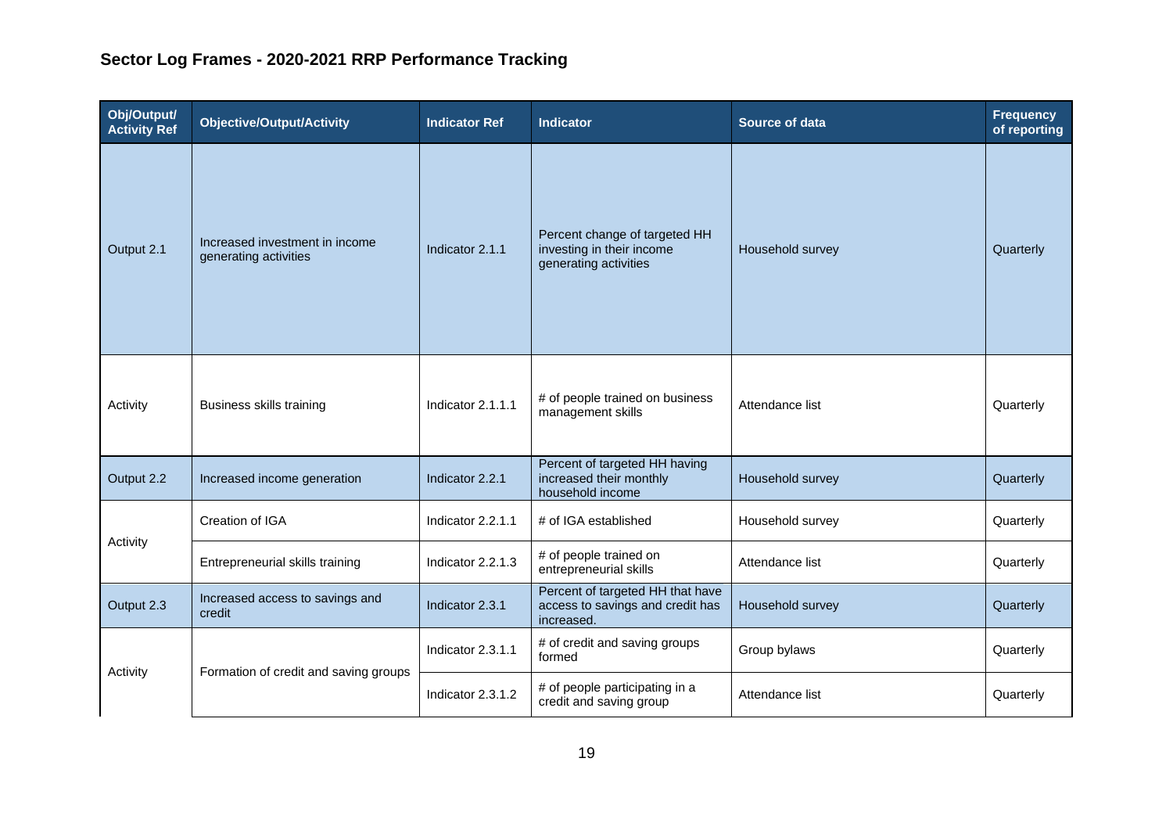| Obj/Output/<br><b>Activity Ref</b> | <b>Objective/Output/Activity</b>                        | <b>Indicator Ref</b> | <b>Indicator</b>                                                                    | Source of data   | <b>Frequency</b><br>of reporting |
|------------------------------------|---------------------------------------------------------|----------------------|-------------------------------------------------------------------------------------|------------------|----------------------------------|
| Output 2.1                         | Increased investment in income<br>generating activities | Indicator 2.1.1      | Percent change of targeted HH<br>investing in their income<br>generating activities | Household survey | Quarterly                        |
| Activity                           | Business skills training                                | Indicator 2.1.1.1    | # of people trained on business<br>management skills                                | Attendance list  | Quarterly                        |
| Output 2.2                         | Increased income generation                             | Indicator 2.2.1      | Percent of targeted HH having<br>increased their monthly<br>household income        | Household survey | Quarterly                        |
|                                    | Creation of IGA                                         | Indicator 2.2.1.1    | # of IGA established                                                                | Household survey | Quarterly                        |
| Activity                           | Entrepreneurial skills training                         | Indicator 2.2.1.3    | # of people trained on<br>entrepreneurial skills                                    | Attendance list  | Quarterly                        |
| Output 2.3                         | Increased access to savings and<br>credit               | Indicator 2.3.1      | Percent of targeted HH that have<br>access to savings and credit has<br>increased.  | Household survey | Quarterly                        |
|                                    | Formation of credit and saving groups                   | Indicator 2.3.1.1    | # of credit and saving groups<br>formed                                             | Group bylaws     | Quarterly                        |
| Activity                           |                                                         | Indicator 2.3.1.2    | # of people participating in a<br>credit and saving group                           | Attendance list  | Quarterly                        |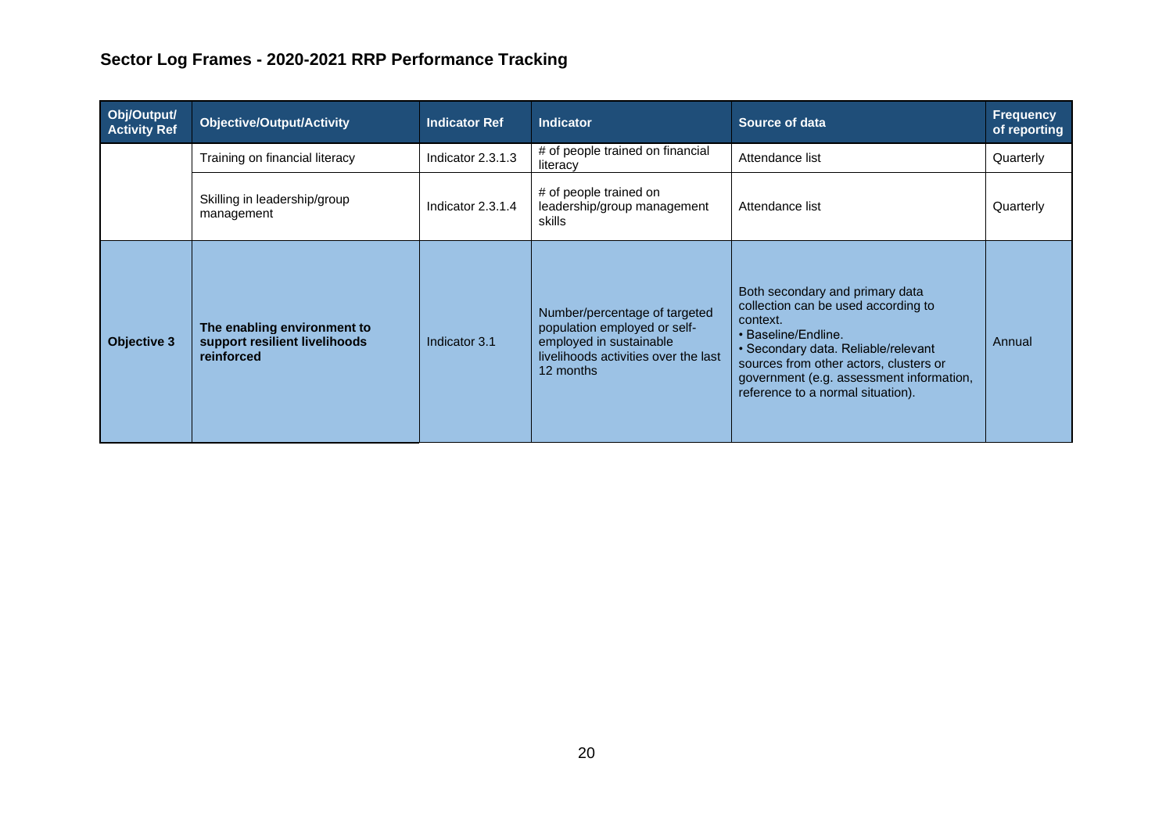| Obj/Output/<br><b>Activity Ref</b> | <b>Objective/Output/Activity</b>                                           | <b>Indicator Ref</b> | <b>Indicator</b>                                                                                                                              | Source of data                                                                                                                                                                                                                                                              | <b>Frequency</b><br>of reporting |
|------------------------------------|----------------------------------------------------------------------------|----------------------|-----------------------------------------------------------------------------------------------------------------------------------------------|-----------------------------------------------------------------------------------------------------------------------------------------------------------------------------------------------------------------------------------------------------------------------------|----------------------------------|
|                                    | Training on financial literacy                                             | Indicator 2.3.1.3    | # of people trained on financial<br>literacy                                                                                                  | Attendance list                                                                                                                                                                                                                                                             | Quarterly                        |
|                                    | Skilling in leadership/group<br>management                                 | Indicator 2.3.1.4    | # of people trained on<br>leadership/group management<br>skills                                                                               | Attendance list                                                                                                                                                                                                                                                             | Quarterly                        |
| <b>Objective 3</b>                 | The enabling environment to<br>support resilient livelihoods<br>reinforced | Indicator 3.1        | Number/percentage of targeted<br>population employed or self-<br>employed in sustainable<br>livelihoods activities over the last<br>12 months | Both secondary and primary data<br>collection can be used according to<br>context.<br>• Baseline/Endline.<br>• Secondary data. Reliable/relevant<br>sources from other actors, clusters or<br>government (e.g. assessment information,<br>reference to a normal situation). | Annual                           |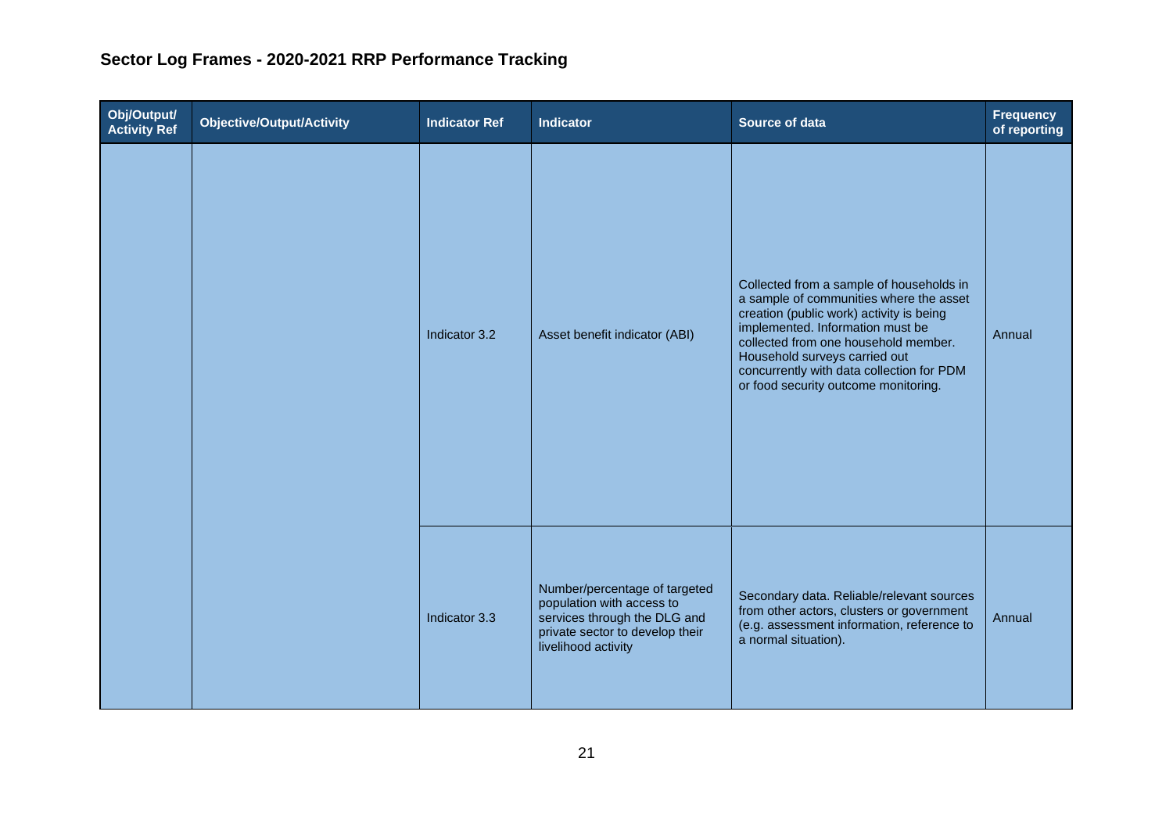| Obj/Output/<br>Activity Ref | <b>Objective/Output/Activity</b> | <b>Indicator Ref</b> | Indicator                                                                                                                                            | Source of data                                                                                                                                                                                                                                                                                                                    | <b>Frequency</b><br>of reporting |
|-----------------------------|----------------------------------|----------------------|------------------------------------------------------------------------------------------------------------------------------------------------------|-----------------------------------------------------------------------------------------------------------------------------------------------------------------------------------------------------------------------------------------------------------------------------------------------------------------------------------|----------------------------------|
|                             |                                  | Indicator 3.2        | Asset benefit indicator (ABI)                                                                                                                        | Collected from a sample of households in<br>a sample of communities where the asset<br>creation (public work) activity is being<br>implemented. Information must be<br>collected from one household member.<br>Household surveys carried out<br>concurrently with data collection for PDM<br>or food security outcome monitoring. | Annual                           |
|                             |                                  | Indicator 3.3        | Number/percentage of targeted<br>population with access to<br>services through the DLG and<br>private sector to develop their<br>livelihood activity | Secondary data. Reliable/relevant sources<br>from other actors, clusters or government<br>(e.g. assessment information, reference to<br>a normal situation).                                                                                                                                                                      | Annual                           |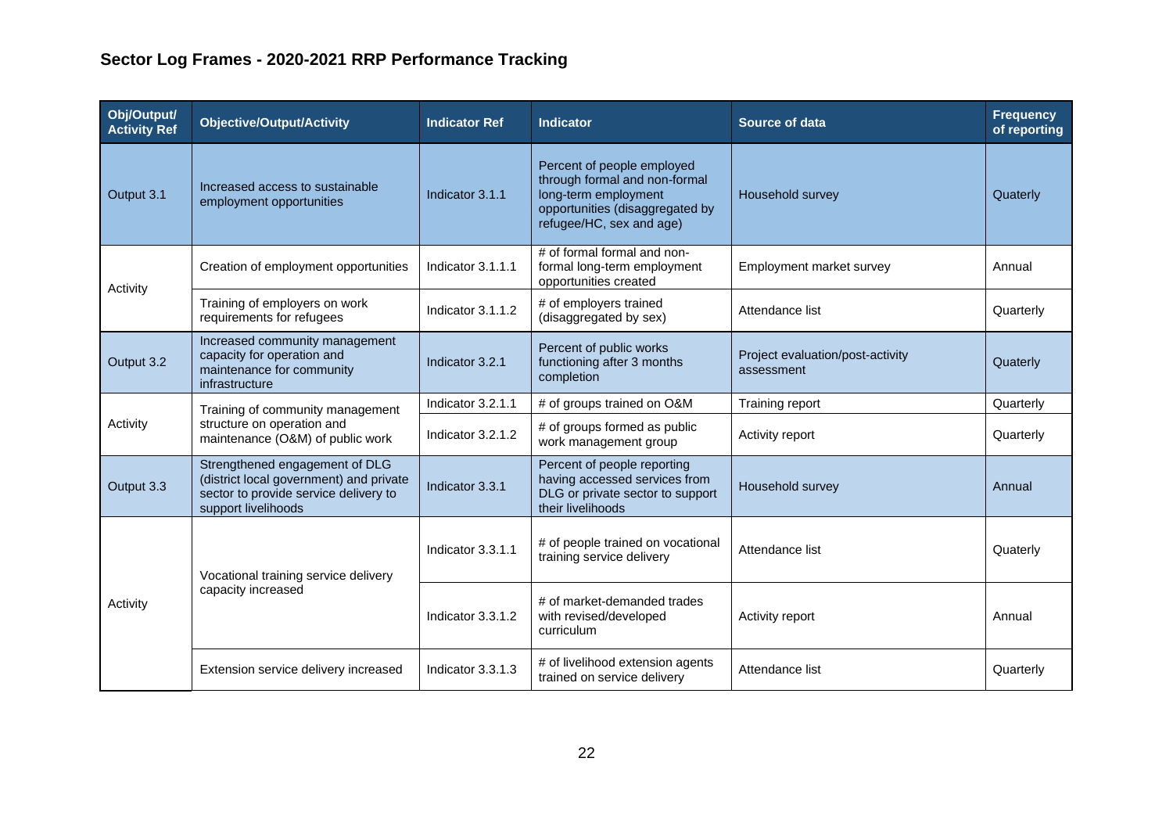| Obj/Output/<br><b>Activity Ref</b> | <b>Objective/Output/Activity</b>                                                                                                          | <b>Indicator Ref</b> | <b>Indicator</b>                                                                                                                                   | <b>Source of data</b>                          | <b>Frequency</b><br>of reporting |
|------------------------------------|-------------------------------------------------------------------------------------------------------------------------------------------|----------------------|----------------------------------------------------------------------------------------------------------------------------------------------------|------------------------------------------------|----------------------------------|
| Output 3.1                         | Increased access to sustainable<br>employment opportunities                                                                               | Indicator 3.1.1      | Percent of people employed<br>through formal and non-formal<br>long-term employment<br>opportunities (disaggregated by<br>refugee/HC, sex and age) | Household survey                               | Quaterly                         |
| Activity                           | Creation of employment opportunities                                                                                                      | Indicator 3.1.1.1    | # of formal formal and non-<br>formal long-term employment<br>opportunities created                                                                | Employment market survey                       | Annual                           |
|                                    | Training of employers on work<br>requirements for refugees                                                                                | Indicator 3.1.1.2    | # of employers trained<br>(disaggregated by sex)                                                                                                   | Attendance list                                | Quarterly                        |
| Output 3.2                         | Increased community management<br>capacity for operation and<br>maintenance for community<br>infrastructure                               | Indicator 3.2.1      | Percent of public works<br>functioning after 3 months<br>completion                                                                                | Project evaluation/post-activity<br>assessment | Quaterly                         |
|                                    | Training of community management<br>structure on operation and<br>maintenance (O&M) of public work                                        | Indicator 3.2.1.1    | # of groups trained on O&M                                                                                                                         | Training report                                | Quarterly                        |
| Activity                           |                                                                                                                                           | Indicator 3.2.1.2    | # of groups formed as public<br>work management group                                                                                              | Activity report                                | Quarterly                        |
| Output 3.3                         | Strengthened engagement of DLG<br>(district local government) and private<br>sector to provide service delivery to<br>support livelihoods | Indicator 3.3.1      | Percent of people reporting<br>having accessed services from<br>DLG or private sector to support<br>their livelihoods                              | Household survey                               | Annual                           |
|                                    | Vocational training service delivery<br>capacity increased                                                                                | Indicator 3.3.1.1    | # of people trained on vocational<br>training service delivery                                                                                     | Attendance list                                | Quaterly                         |
| Activity                           |                                                                                                                                           | Indicator 3.3.1.2    | # of market-demanded trades<br>with revised/developed<br>curriculum                                                                                | Activity report                                | Annual                           |
|                                    | Extension service delivery increased                                                                                                      | Indicator 3.3.1.3    | # of livelihood extension agents<br>trained on service delivery                                                                                    | Attendance list                                | Quarterly                        |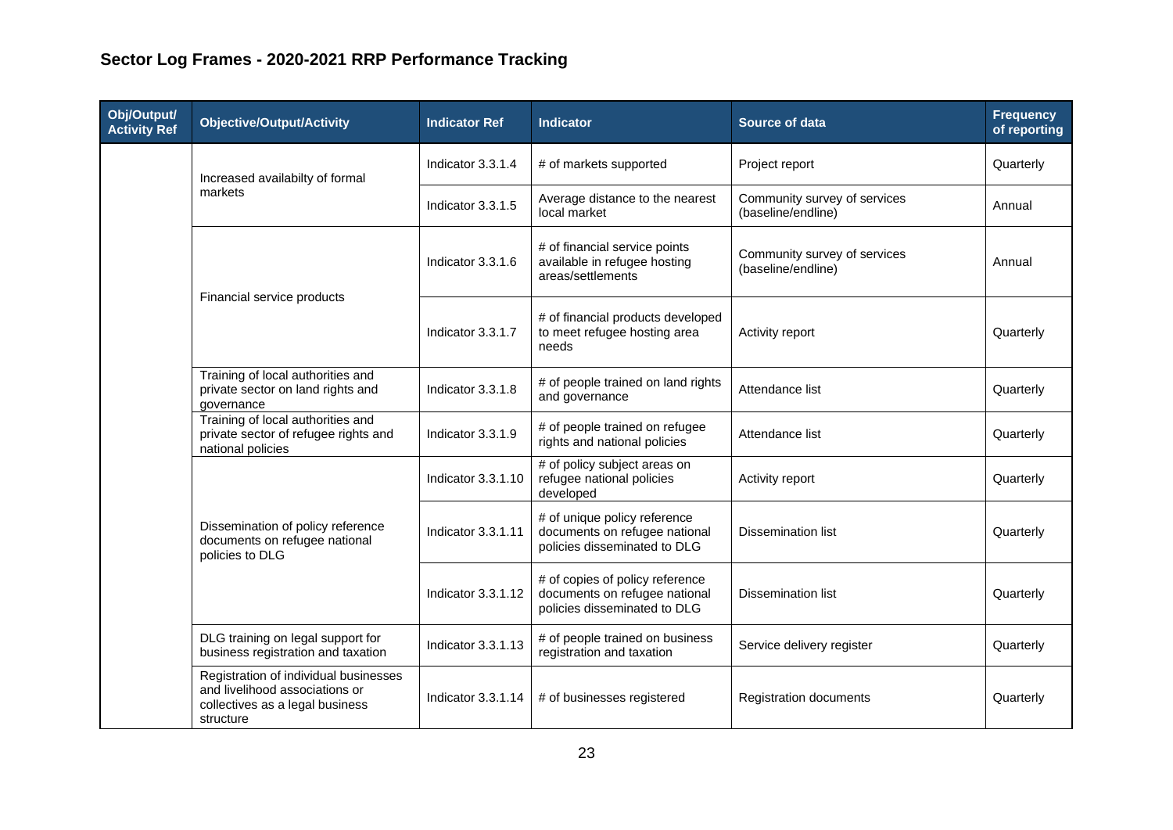| Obj/Output/<br><b>Activity Ref</b> | <b>Objective/Output/Activity</b>                                                                                        | <b>Indicator Ref</b> | <b>Indicator</b>                                                                                 | <b>Source of data</b>                              | <b>Frequency</b><br>of reporting |
|------------------------------------|-------------------------------------------------------------------------------------------------------------------------|----------------------|--------------------------------------------------------------------------------------------------|----------------------------------------------------|----------------------------------|
|                                    | Increased availabilty of formal                                                                                         | Indicator 3.3.1.4    | # of markets supported                                                                           | Project report                                     | Quarterly                        |
|                                    | markets                                                                                                                 | Indicator 3.3.1.5    | Average distance to the nearest<br>local market                                                  | Community survey of services<br>(baseline/endline) | Annual                           |
|                                    |                                                                                                                         | Indicator 3.3.1.6    | # of financial service points<br>available in refugee hosting<br>areas/settlements               | Community survey of services<br>(baseline/endline) | Annual                           |
| Financial service products         |                                                                                                                         | Indicator 3.3.1.7    | # of financial products developed<br>to meet refugee hosting area<br>needs                       | Activity report                                    | Quarterly                        |
|                                    | Training of local authorities and<br>private sector on land rights and<br>governance                                    | Indicator 3.3.1.8    | # of people trained on land rights<br>and governance                                             | Attendance list                                    | Quarterly                        |
|                                    | Training of local authorities and<br>private sector of refugee rights and<br>national policies                          | Indicator 3.3.1.9    | # of people trained on refugee<br>rights and national policies                                   | Attendance list                                    | Quarterly                        |
|                                    | Dissemination of policy reference<br>documents on refugee national<br>policies to DLG                                   | Indicator 3.3.1.10   | # of policy subject areas on<br>refugee national policies<br>developed                           | Activity report                                    | Quarterly                        |
|                                    |                                                                                                                         | Indicator 3.3.1.11   | # of unique policy reference<br>documents on refugee national<br>policies disseminated to DLG    | <b>Dissemination list</b>                          | Quarterly                        |
|                                    |                                                                                                                         | Indicator 3.3.1.12   | # of copies of policy reference<br>documents on refugee national<br>policies disseminated to DLG | <b>Dissemination list</b>                          | Quarterly                        |
|                                    | DLG training on legal support for<br>business registration and taxation                                                 | Indicator 3.3.1.13   | # of people trained on business<br>registration and taxation                                     | Service delivery register                          | Quarterly                        |
|                                    | Registration of individual businesses<br>and livelihood associations or<br>collectives as a legal business<br>structure | Indicator 3.3.1.14   | # of businesses registered                                                                       | <b>Registration documents</b>                      | Quarterly                        |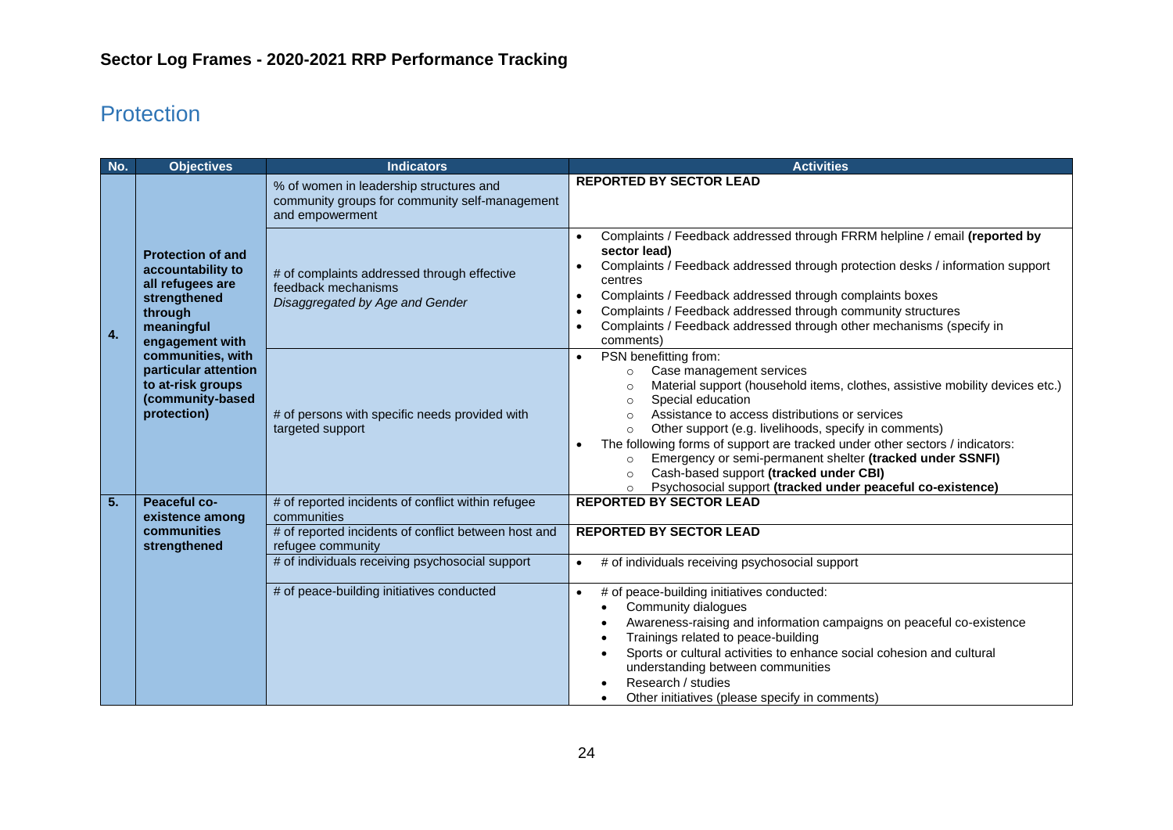# <span id="page-23-0"></span>Protection

| No.              | <b>Objectives</b>                                                                                                                                                                                                                  | <b>Indicators</b>                                                                                            | <b>Activities</b>                                                                                                                                                                                                                                                                                                                                                                                                                                                                                                                                                                                                            |
|------------------|------------------------------------------------------------------------------------------------------------------------------------------------------------------------------------------------------------------------------------|--------------------------------------------------------------------------------------------------------------|------------------------------------------------------------------------------------------------------------------------------------------------------------------------------------------------------------------------------------------------------------------------------------------------------------------------------------------------------------------------------------------------------------------------------------------------------------------------------------------------------------------------------------------------------------------------------------------------------------------------------|
|                  |                                                                                                                                                                                                                                    | % of women in leadership structures and<br>community groups for community self-management<br>and empowerment | <b>REPORTED BY SECTOR LEAD</b>                                                                                                                                                                                                                                                                                                                                                                                                                                                                                                                                                                                               |
| 4.               | <b>Protection of and</b><br>accountability to<br>all refugees are<br>strengthened<br>through<br>meaningful<br>engagement with<br>communities, with<br>particular attention<br>to at-risk groups<br>(community-based<br>protection) | # of complaints addressed through effective<br>feedback mechanisms<br>Disaggregated by Age and Gender        | Complaints / Feedback addressed through FRRM helpline / email (reported by<br>$\bullet$<br>sector lead)<br>Complaints / Feedback addressed through protection desks / information support<br>centres<br>Complaints / Feedback addressed through complaints boxes<br>$\bullet$<br>Complaints / Feedback addressed through community structures<br>$\bullet$<br>Complaints / Feedback addressed through other mechanisms (specify in<br>comments)                                                                                                                                                                              |
|                  |                                                                                                                                                                                                                                    | # of persons with specific needs provided with<br>targeted support                                           | PSN benefitting from:<br>$\bullet$<br>Case management services<br>$\circ$<br>Material support (household items, clothes, assistive mobility devices etc.)<br>$\circ$<br>Special education<br>$\circ$<br>Assistance to access distributions or services<br>$\Omega$<br>Other support (e.g. livelihoods, specify in comments)<br>$\circ$<br>The following forms of support are tracked under other sectors / indicators:<br>Emergency or semi-permanent shelter (tracked under SSNFI)<br>$\circ$<br>Cash-based support (tracked under CBI)<br>$\circ$<br>Psychosocial support (tracked under peaceful co-existence)<br>$\circ$ |
| $\overline{5}$ . | <b>Peaceful co-</b>                                                                                                                                                                                                                | # of reported incidents of conflict within refugee                                                           | <b>REPORTED BY SECTOR LEAD</b>                                                                                                                                                                                                                                                                                                                                                                                                                                                                                                                                                                                               |
|                  | existence among<br>communities<br>strengthened                                                                                                                                                                                     | communities<br># of reported incidents of conflict between host and<br>refugee community                     | <b>REPORTED BY SECTOR LEAD</b>                                                                                                                                                                                                                                                                                                                                                                                                                                                                                                                                                                                               |
|                  |                                                                                                                                                                                                                                    | # of individuals receiving psychosocial support                                                              | # of individuals receiving psychosocial support<br>$\bullet$                                                                                                                                                                                                                                                                                                                                                                                                                                                                                                                                                                 |
|                  |                                                                                                                                                                                                                                    | # of peace-building initiatives conducted                                                                    | # of peace-building initiatives conducted:<br>$\bullet$<br>Community dialogues<br>Awareness-raising and information campaigns on peaceful co-existence<br>Trainings related to peace-building<br>Sports or cultural activities to enhance social cohesion and cultural<br>understanding between communities<br>Research / studies<br>Other initiatives (please specify in comments)                                                                                                                                                                                                                                          |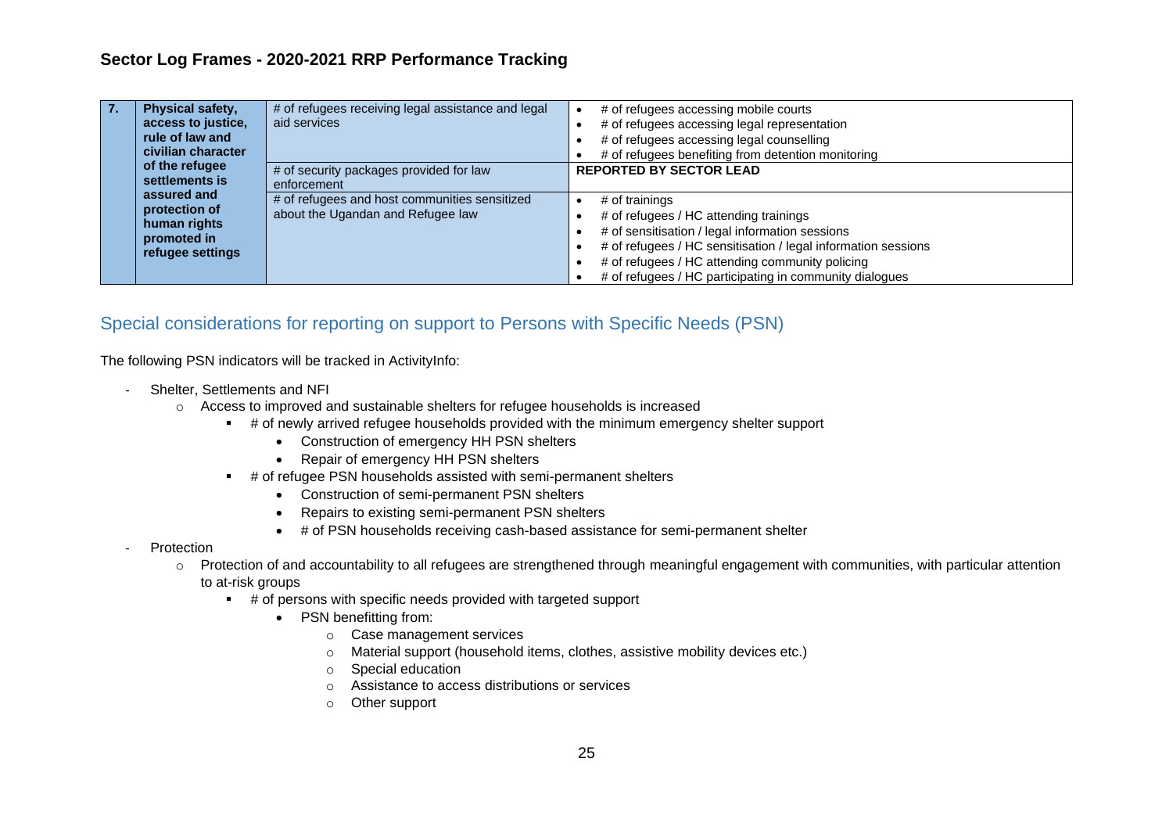| Physical safety,<br>access to justice,<br>rule of law and<br>civilian character | # of refugees receiving legal assistance and legal<br>aid services                 | # of refugees accessing mobile courts<br># of refugees accessing legal representation<br># of refugees accessing legal counselling<br># of refugees benefiting from detention monitoring                                                                                                   |
|---------------------------------------------------------------------------------|------------------------------------------------------------------------------------|--------------------------------------------------------------------------------------------------------------------------------------------------------------------------------------------------------------------------------------------------------------------------------------------|
| of the refugee<br>settlements is                                                | # of security packages provided for law<br>enforcement                             | <b>REPORTED BY SECTOR LEAD</b>                                                                                                                                                                                                                                                             |
| assured and<br>protection of<br>human rights<br>promoted in<br>refugee settings | # of refugees and host communities sensitized<br>about the Ugandan and Refugee law | # of trainings<br># of refugees / HC attending trainings<br># of sensitisation / legal information sessions<br># of refugees / HC sensitisation / legal information sessions<br># of refugees / HC attending community policing<br># of refugees / HC participating in community dialogues |

#### <span id="page-24-0"></span>Special considerations for reporting on support to Persons with Specific Needs (PSN)

The following PSN indicators will be tracked in ActivityInfo:

- Shelter, Settlements and NFI
	- o Access to improved and sustainable shelters for refugee households is increased
		- # of newly arrived refugee households provided with the minimum emergency shelter support
			- Construction of emergency HH PSN shelters
			- Repair of emergency HH PSN shelters
		- # of refugee PSN households assisted with semi-permanent shelters
			- Construction of semi-permanent PSN shelters
			- Repairs to existing semi-permanent PSN shelters
			- # of PSN households receiving cash-based assistance for semi-permanent shelter
- **Protection** 
	- o Protection of and accountability to all refugees are strengthened through meaningful engagement with communities, with particular attention
		- to at-risk groups
			- # of persons with specific needs provided with targeted support
				- PSN benefitting from:
					- o Case management services
					- o Material support (household items, clothes, assistive mobility devices etc.)
					- o Special education
					- o Assistance to access distributions or services
					- o Other support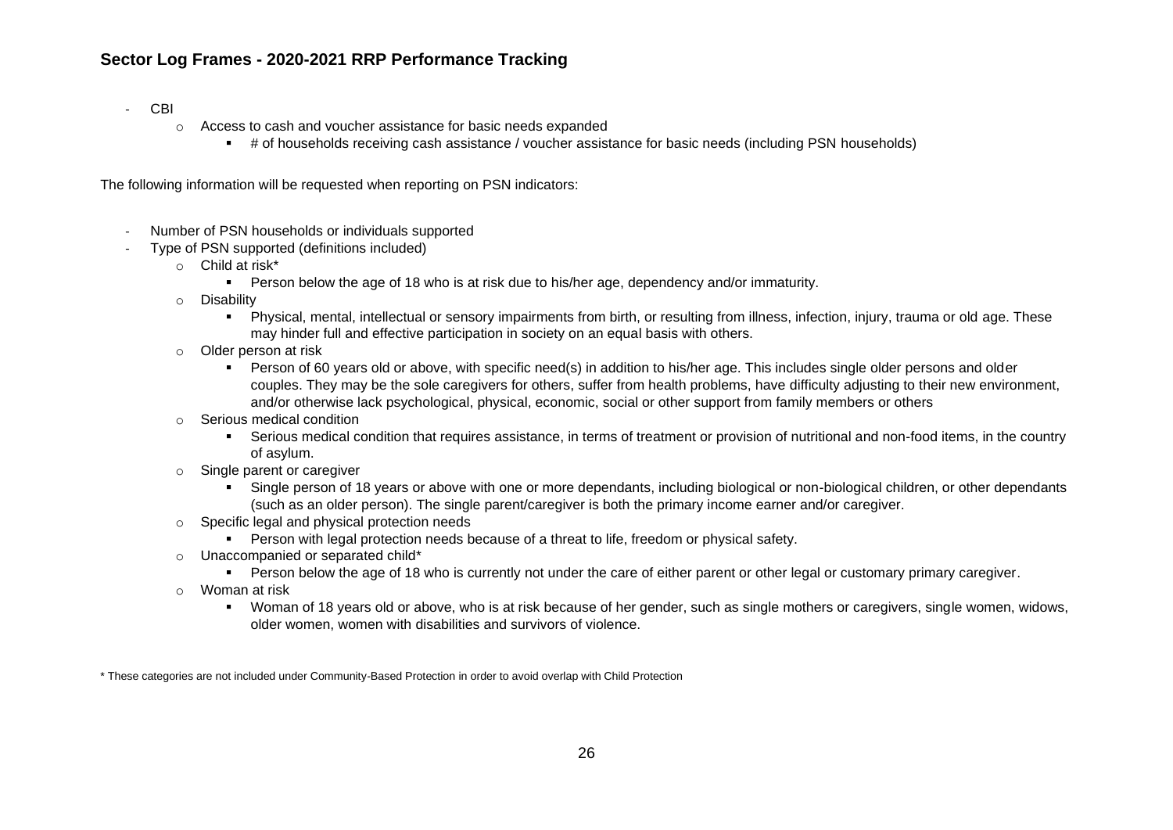- CBI
	- o Access to cash and voucher assistance for basic needs expanded
		- # of households receiving cash assistance / voucher assistance for basic needs (including PSN households)

The following information will be requested when reporting on PSN indicators:

- Number of PSN households or individuals supported
- Type of PSN supported (definitions included)
	- o Child at risk\*
		- **•** Person below the age of 18 who is at risk due to his/her age, dependency and/or immaturity.
	- o Disability
		- Physical, mental, intellectual or sensory impairments from birth, or resulting from illness, infection, injury, trauma or old age. These may hinder full and effective participation in society on an equal basis with others.
	- o Older person at risk
		- Person of 60 years old or above, with specific need(s) in addition to his/her age. This includes single older persons and older couples. They may be the sole caregivers for others, suffer from health problems, have difficulty adjusting to their new environment, and/or otherwise lack psychological, physical, economic, social or other support from family members or others
	- o Serious medical condition
		- Serious medical condition that requires assistance, in terms of treatment or provision of nutritional and non-food items, in the country of asylum.
	- o Single parent or caregiver
		- Single person of 18 years or above with one or more dependants, including biological or non-biological children, or other dependants (such as an older person). The single parent/caregiver is both the primary income earner and/or caregiver.
	- o Specific legal and physical protection needs
		- **•** Person with legal protection needs because of a threat to life, freedom or physical safety.
	- o Unaccompanied or separated child\*
		- **•** Person below the age of 18 who is currently not under the care of either parent or other legal or customary primary caregiver.
	- o Woman at risk
		- Woman of 18 years old or above, who is at risk because of her gender, such as single mothers or caregivers, single women, widows, older women, women with disabilities and survivors of violence.

\* These categories are not included under Community-Based Protection in order to avoid overlap with Child Protection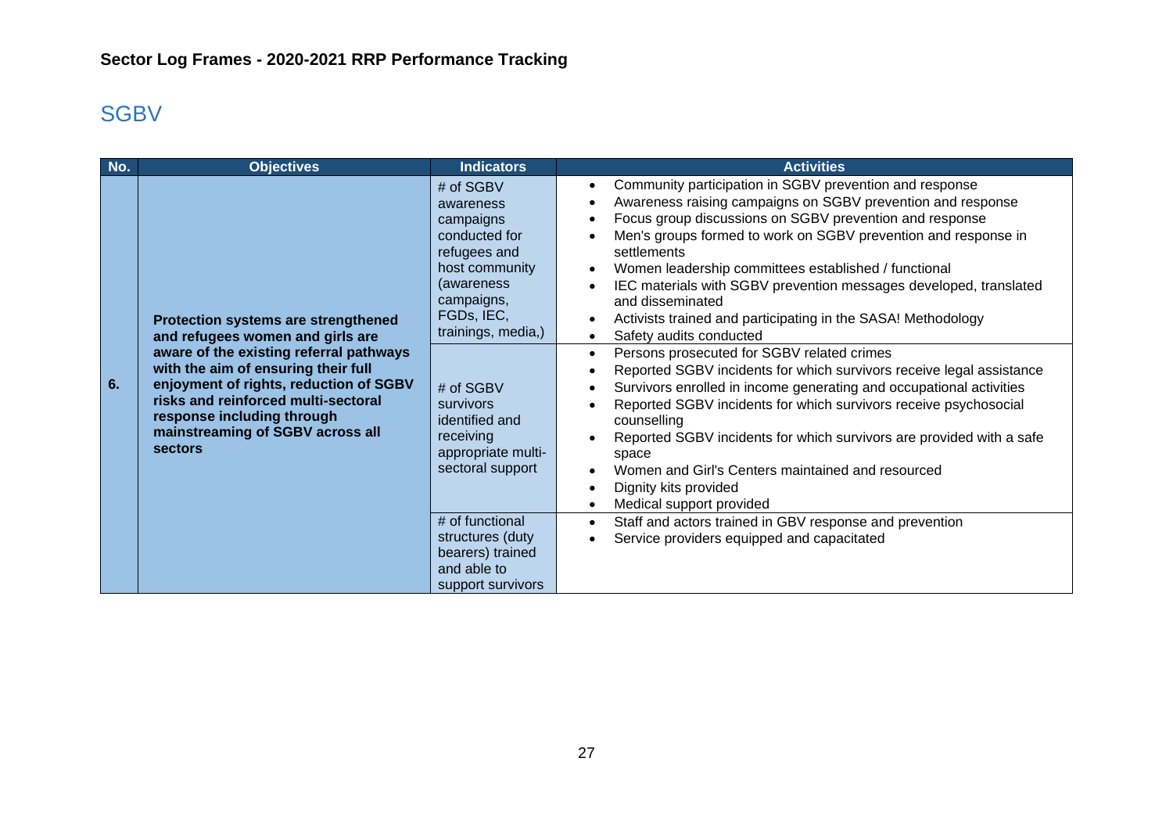# <span id="page-26-0"></span>**SGBV**

| <b>Objectives</b>                                                                                                                                                                                                                                                                                                              | <b>Indicators</b>                                                                                                                                                                                                                                          | <b>Activities</b>                                                                                                                                                                                                                                                                                                                                                                                                                                                                                                                                                                                                                                                                                                                                                                                                                                                                                                                                                                                                                                                                                                                                                               |
|--------------------------------------------------------------------------------------------------------------------------------------------------------------------------------------------------------------------------------------------------------------------------------------------------------------------------------|------------------------------------------------------------------------------------------------------------------------------------------------------------------------------------------------------------------------------------------------------------|---------------------------------------------------------------------------------------------------------------------------------------------------------------------------------------------------------------------------------------------------------------------------------------------------------------------------------------------------------------------------------------------------------------------------------------------------------------------------------------------------------------------------------------------------------------------------------------------------------------------------------------------------------------------------------------------------------------------------------------------------------------------------------------------------------------------------------------------------------------------------------------------------------------------------------------------------------------------------------------------------------------------------------------------------------------------------------------------------------------------------------------------------------------------------------|
| Protection systems are strengthened<br>and refugees women and girls are<br>aware of the existing referral pathways<br>with the aim of ensuring their full<br>enjoyment of rights, reduction of SGBV<br>risks and reinforced multi-sectoral<br>response including through<br>mainstreaming of SGBV across all<br><b>sectors</b> | # of SGBV<br>awareness<br>campaigns<br>conducted for<br>refugees and<br>host community<br>(awareness)<br>campaigns,<br>FGDs, IEC,<br>trainings, media,)<br># of SGBV<br>survivors<br>identified and<br>receiving<br>appropriate multi-<br>sectoral support | Community participation in SGBV prevention and response<br>$\bullet$<br>Awareness raising campaigns on SGBV prevention and response<br>$\bullet$<br>Focus group discussions on SGBV prevention and response<br>$\bullet$<br>Men's groups formed to work on SGBV prevention and response in<br>settlements<br>Women leadership committees established / functional<br>$\bullet$<br>IEC materials with SGBV prevention messages developed, translated<br>$\bullet$<br>and disseminated<br>Activists trained and participating in the SASA! Methodology<br>$\bullet$<br>Safety audits conducted<br>$\bullet$<br>Persons prosecuted for SGBV related crimes<br>$\bullet$<br>Reported SGBV incidents for which survivors receive legal assistance<br>$\bullet$<br>Survivors enrolled in income generating and occupational activities<br>$\bullet$<br>Reported SGBV incidents for which survivors receive psychosocial<br>counselling<br>Reported SGBV incidents for which survivors are provided with a safe<br>$\bullet$<br>space<br>Women and Girl's Centers maintained and resourced<br>$\bullet$<br>Dignity kits provided<br>$\bullet$<br>Medical support provided<br>$\bullet$ |
|                                                                                                                                                                                                                                                                                                                                | structures (duty<br>bearers) trained<br>and able to                                                                                                                                                                                                        | Staff and actors trained in GBV response and prevention<br>$\bullet$<br>Service providers equipped and capacitated                                                                                                                                                                                                                                                                                                                                                                                                                                                                                                                                                                                                                                                                                                                                                                                                                                                                                                                                                                                                                                                              |
|                                                                                                                                                                                                                                                                                                                                |                                                                                                                                                                                                                                                            | # of functional<br>support survivors                                                                                                                                                                                                                                                                                                                                                                                                                                                                                                                                                                                                                                                                                                                                                                                                                                                                                                                                                                                                                                                                                                                                            |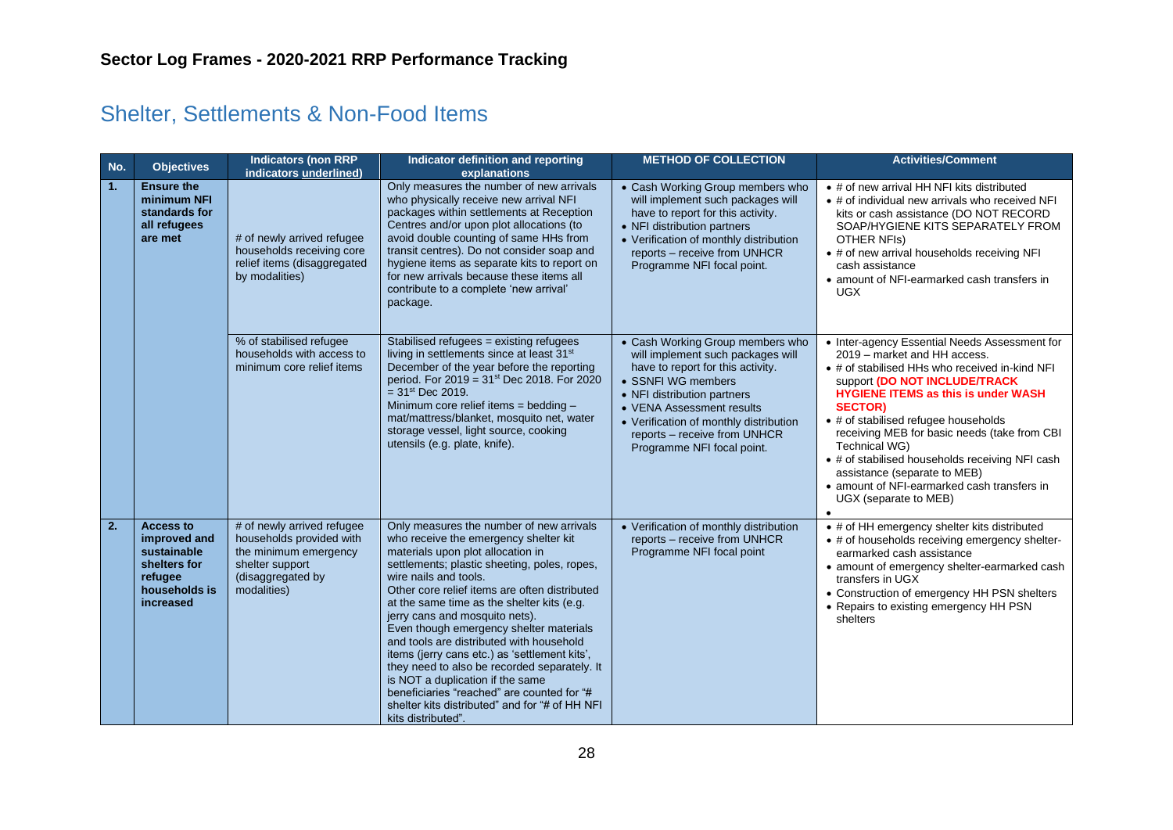# <span id="page-27-0"></span>Shelter, Settlements & Non-Food Items

| No. | <b>Objectives</b>                                                                                                                                                                                                                                                                                                                                                                                                                                                                                                                                                                                                                                                                                                                                                                                                                                                                                                                        | <b>Indicators (non RRP</b><br>indicators underlined)                                                     | Indicator definition and reporting<br>explanations                                                                                                                                                                                                                                                                                                                                                                  | <b>METHOD OF COLLECTION</b>                                                                                                                                                                                                                                                                          | <b>Activities/Comment</b>                                                                                                                                                                                                                                                                                                                                                                                                                                                                            |
|-----|------------------------------------------------------------------------------------------------------------------------------------------------------------------------------------------------------------------------------------------------------------------------------------------------------------------------------------------------------------------------------------------------------------------------------------------------------------------------------------------------------------------------------------------------------------------------------------------------------------------------------------------------------------------------------------------------------------------------------------------------------------------------------------------------------------------------------------------------------------------------------------------------------------------------------------------|----------------------------------------------------------------------------------------------------------|---------------------------------------------------------------------------------------------------------------------------------------------------------------------------------------------------------------------------------------------------------------------------------------------------------------------------------------------------------------------------------------------------------------------|------------------------------------------------------------------------------------------------------------------------------------------------------------------------------------------------------------------------------------------------------------------------------------------------------|------------------------------------------------------------------------------------------------------------------------------------------------------------------------------------------------------------------------------------------------------------------------------------------------------------------------------------------------------------------------------------------------------------------------------------------------------------------------------------------------------|
| 1.  | <b>Ensure the</b><br>minimum NFI<br>standards for<br>all refugees<br>are met                                                                                                                                                                                                                                                                                                                                                                                                                                                                                                                                                                                                                                                                                                                                                                                                                                                             | # of newly arrived refugee<br>households receiving core<br>relief items (disaggregated<br>by modalities) | Only measures the number of new arrivals<br>who physically receive new arrival NFI<br>packages within settlements at Reception<br>Centres and/or upon plot allocations (to<br>avoid double counting of same HHs from<br>transit centres). Do not consider soap and<br>hygiene items as separate kits to report on<br>for new arrivals because these items all<br>contribute to a complete 'new arrival'<br>package. | • Cash Working Group members who<br>will implement such packages will<br>have to report for this activity.<br>• NFI distribution partners<br>• Verification of monthly distribution<br>reports - receive from UNHCR<br>Programme NFI focal point.                                                    | • # of new arrival HH NFI kits distributed<br>• # of individual new arrivals who received NFI<br>kits or cash assistance (DO NOT RECORD<br>SOAP/HYGIENE KITS SEPARATELY FROM<br>OTHER NFIs)<br>• # of new arrival households receiving NFI<br>cash assistance<br>• amount of NFI-earmarked cash transfers in<br><b>UGX</b>                                                                                                                                                                           |
|     |                                                                                                                                                                                                                                                                                                                                                                                                                                                                                                                                                                                                                                                                                                                                                                                                                                                                                                                                          | % of stabilised refugee<br>households with access to<br>minimum core relief items                        | Stabilised refugees = existing refugees<br>living in settlements since at least 31 <sup>st</sup><br>December of the year before the reporting<br>period. For $2019 = 31$ <sup>st</sup> Dec 2018. For 2020<br>$=$ 31 <sup>st</sup> Dec 2019.<br>Minimum core relief items = bedding -<br>mat/mattress/blanket, mosquito net, water<br>storage vessel, light source, cooking<br>utensils (e.g. plate, knife).         | • Cash Working Group members who<br>will implement such packages will<br>have to report for this activity.<br>• SSNFI WG members<br>• NFI distribution partners<br>• VENA Assessment results<br>• Verification of monthly distribution<br>reports - receive from UNHCR<br>Programme NFI focal point. | • Inter-agency Essential Needs Assessment for<br>2019 - market and HH access.<br>• # of stabilised HHs who received in-kind NFI<br>support (DO NOT INCLUDE/TRACK<br><b>HYGIENE ITEMS as this is under WASH</b><br><b>SECTOR)</b><br>• # of stabilised refugee households<br>receiving MEB for basic needs (take from CBI<br>Technical WG)<br>• # of stabilised households receiving NFI cash<br>assistance (separate to MEB)<br>• amount of NFI-earmarked cash transfers in<br>UGX (separate to MEB) |
| 2.  | <b>Access to</b><br># of newly arrived refugee<br>Only measures the number of new arrivals<br>households provided with<br>improved and<br>who receive the emergency shelter kit<br>sustainable<br>the minimum emergency<br>materials upon plot allocation in<br>shelters for<br>shelter support<br>settlements; plastic sheeting, poles, ropes,<br>(disaggregated by<br>wire nails and tools.<br>refugee<br>households is<br>modalities)<br>Other core relief items are often distributed<br>increased<br>at the same time as the shelter kits (e.g.<br>jerry cans and mosquito nets).<br>Even though emergency shelter materials<br>and tools are distributed with household<br>items (jerry cans etc.) as 'settlement kits',<br>they need to also be recorded separately. It<br>is NOT a duplication if the same<br>beneficiaries "reached" are counted for "#<br>shelter kits distributed" and for "# of HH NFI<br>kits distributed". |                                                                                                          | • Verification of monthly distribution<br>reports - receive from UNHCR<br>Programme NFI focal point                                                                                                                                                                                                                                                                                                                 | • # of HH emergency shelter kits distributed<br>• # of households receiving emergency shelter-<br>earmarked cash assistance<br>• amount of emergency shelter-earmarked cash<br>transfers in UGX<br>• Construction of emergency HH PSN shelters<br>• Repairs to existing emergency HH PSN<br>shelters |                                                                                                                                                                                                                                                                                                                                                                                                                                                                                                      |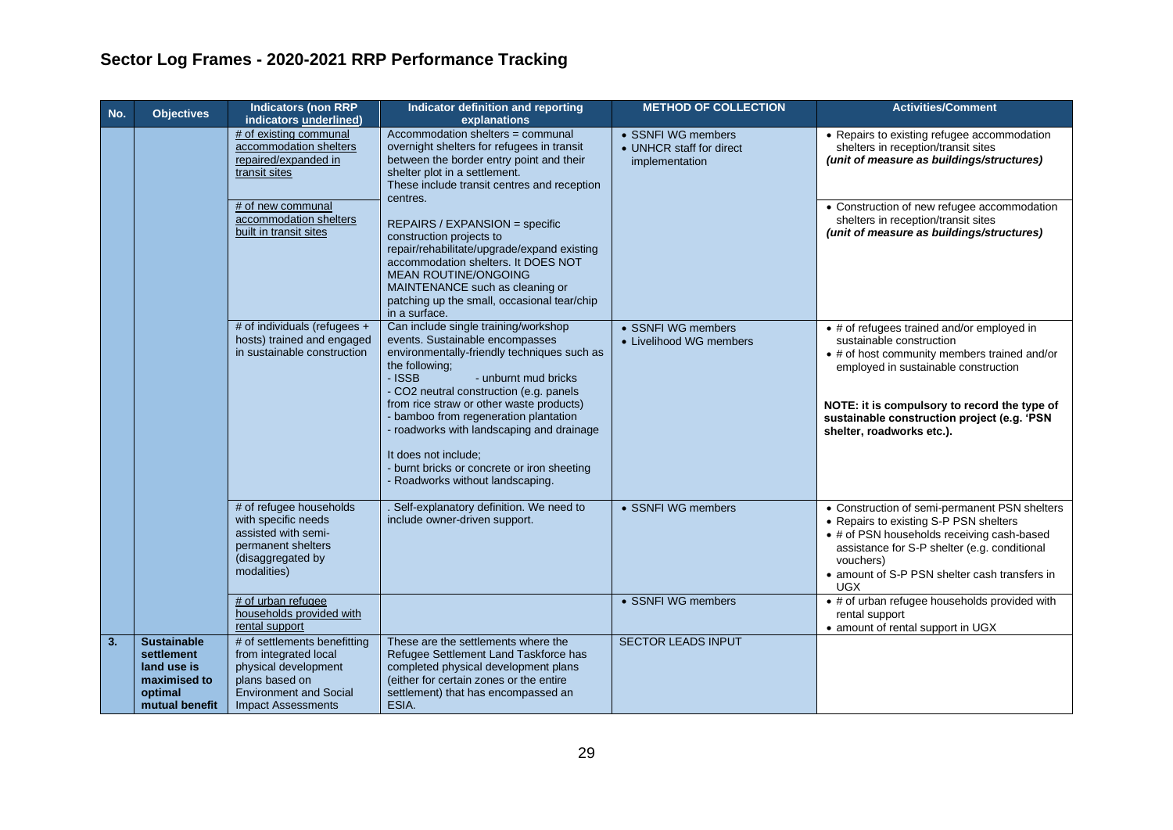| No. | <b>Objectives</b>                                                                            | <b>Indicators (non RRP</b><br>indicators underlined)                                                                                                               | Indicator definition and reporting<br>explanations                                                                                                                                                                                                                                                                                                                                                                                                                                           | <b>METHOD OF COLLECTION</b>                                      | <b>Activities/Comment</b>                                                                                                                                                                                                                                                                  |
|-----|----------------------------------------------------------------------------------------------|--------------------------------------------------------------------------------------------------------------------------------------------------------------------|----------------------------------------------------------------------------------------------------------------------------------------------------------------------------------------------------------------------------------------------------------------------------------------------------------------------------------------------------------------------------------------------------------------------------------------------------------------------------------------------|------------------------------------------------------------------|--------------------------------------------------------------------------------------------------------------------------------------------------------------------------------------------------------------------------------------------------------------------------------------------|
|     |                                                                                              | # of existing communal<br>accommodation shelters<br>repaired/expanded in<br>transit sites<br># of new communal<br>accommodation shelters<br>built in transit sites | Accommodation shelters = communal<br>overnight shelters for refugees in transit<br>between the border entry point and their<br>shelter plot in a settlement.<br>These include transit centres and reception<br>centres.<br>REPAIRS / EXPANSION = specific<br>construction projects to<br>repair/rehabilitate/upgrade/expand existing<br>accommodation shelters. It DOES NOT<br><b>MEAN ROUTINE/ONGOING</b><br>MAINTENANCE such as cleaning or<br>patching up the small, occasional tear/chip | • SSNFI WG members<br>• UNHCR staff for direct<br>implementation | • Repairs to existing refugee accommodation<br>shelters in reception/transit sites<br>(unit of measure as buildings/structures)<br>• Construction of new refugee accommodation<br>shelters in reception/transit sites<br>(unit of measure as buildings/structures)                         |
|     |                                                                                              | # of individuals (refugees +<br>hosts) trained and engaged<br>in sustainable construction                                                                          | in a surface.<br>Can include single training/workshop<br>events. Sustainable encompasses<br>environmentally-friendly techniques such as<br>the following;<br>- ISSB<br>- unburnt mud bricks<br>- CO2 neutral construction (e.g. panels<br>from rice straw or other waste products)<br>- bamboo from regeneration plantation<br>- roadworks with landscaping and drainage<br>It does not include:<br>- burnt bricks or concrete or iron sheeting<br>- Roadworks without landscaping.          | • SSNFI WG members<br>• Livelihood WG members                    | • # of refugees trained and/or employed in<br>sustainable construction<br>• # of host community members trained and/or<br>employed in sustainable construction<br>NOTE: it is compulsory to record the type of<br>sustainable construction project (e.g. 'PSN<br>shelter, roadworks etc.). |
|     |                                                                                              | # of refugee households<br>with specific needs<br>assisted with semi-<br>permanent shelters<br>(disaggregated by<br>modalities)                                    | Self-explanatory definition. We need to<br>include owner-driven support.                                                                                                                                                                                                                                                                                                                                                                                                                     | • SSNFI WG members                                               | • Construction of semi-permanent PSN shelters<br>• Repairs to existing S-P PSN shelters<br>• # of PSN households receiving cash-based<br>assistance for S-P shelter (e.g. conditional<br>vouchers)<br>• amount of S-P PSN shelter cash transfers in<br><b>UGX</b>                          |
|     |                                                                                              | # of urban refugee<br>households provided with<br>rental support                                                                                                   |                                                                                                                                                                                                                                                                                                                                                                                                                                                                                              | • SSNFI WG members                                               | • # of urban refugee households provided with<br>rental support<br>• amount of rental support in UGX                                                                                                                                                                                       |
| 3.  | <b>Sustainable</b><br>settlement<br>land use is<br>maximised to<br>optimal<br>mutual benefit | # of settlements benefitting<br>from integrated local<br>physical development<br>plans based on<br><b>Environment and Social</b><br><b>Impact Assessments</b>      | These are the settlements where the<br>Refugee Settlement Land Taskforce has<br>completed physical development plans<br>(either for certain zones or the entire<br>settlement) that has encompassed an<br>ESIA.                                                                                                                                                                                                                                                                              | <b>SECTOR LEADS INPUT</b>                                        |                                                                                                                                                                                                                                                                                            |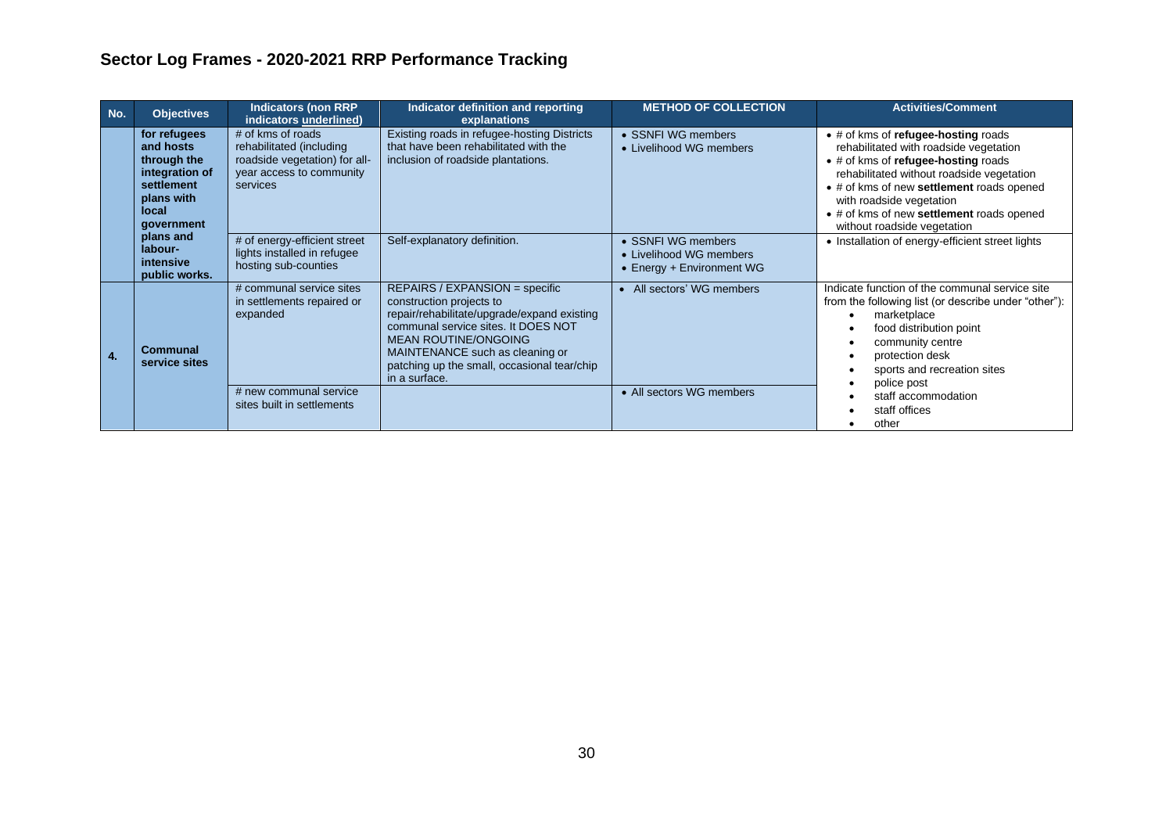| No.            | <b>Objectives</b>                                                                                                                                                   | <b>Indicators (non RRP</b><br>indicators underlined)                                                                   | Indicator definition and reporting<br>explanations                                                                                                                                                                                                                                 | <b>METHOD OF COLLECTION</b>                                                | <b>Activities/Comment</b>                                                                                                                                                                                                                                                                                                      |
|----------------|---------------------------------------------------------------------------------------------------------------------------------------------------------------------|------------------------------------------------------------------------------------------------------------------------|------------------------------------------------------------------------------------------------------------------------------------------------------------------------------------------------------------------------------------------------------------------------------------|----------------------------------------------------------------------------|--------------------------------------------------------------------------------------------------------------------------------------------------------------------------------------------------------------------------------------------------------------------------------------------------------------------------------|
|                | for refugees<br>and hosts<br>through the<br>integration of<br>settlement<br>plans with<br>local<br>government<br>plans and<br>labour-<br>intensive<br>public works. | # of kms of roads<br>rehabilitated (including<br>roadside vegetation) for all-<br>year access to community<br>services | Existing roads in refugee-hosting Districts<br>that have been rehabilitated with the<br>inclusion of roadside plantations.                                                                                                                                                         | • SSNFI WG members<br>• Livelihood WG members                              | $\bullet$ # of kms of refugee-hosting roads<br>rehabilitated with roadside vegetation<br>• # of kms of refugee-hosting roads<br>rehabilitated without roadside vegetation<br>• # of kms of new settlement roads opened<br>with roadside vegetation<br>• # of kms of new settlement roads opened<br>without roadside vegetation |
|                |                                                                                                                                                                     | # of energy-efficient street<br>lights installed in refugee<br>hosting sub-counties                                    | Self-explanatory definition.                                                                                                                                                                                                                                                       | • SSNFI WG members<br>• Livelihood WG members<br>• Energy + Environment WG | • Installation of energy-efficient street lights                                                                                                                                                                                                                                                                               |
| $\overline{4}$ | Communal<br>service sites                                                                                                                                           | # communal service sites<br>in settlements repaired or<br>expanded                                                     | REPAIRS / EXPANSION = specific<br>construction projects to<br>repair/rehabilitate/upgrade/expand existing<br>communal service sites. It DOES NOT<br><b>MEAN ROUTINE/ONGOING</b><br>MAINTENANCE such as cleaning or<br>patching up the small, occasional tear/chip<br>in a surface. | • All sectors' WG members                                                  | Indicate function of the communal service site<br>from the following list (or describe under "other"):<br>marketplace<br>food distribution point<br>community centre<br>protection desk<br>sports and recreation sites<br>police post<br>staff accommodation<br>staff offices<br>other                                         |
|                |                                                                                                                                                                     | # new communal service<br>sites built in settlements                                                                   |                                                                                                                                                                                                                                                                                    | • All sectors WG members                                                   |                                                                                                                                                                                                                                                                                                                                |